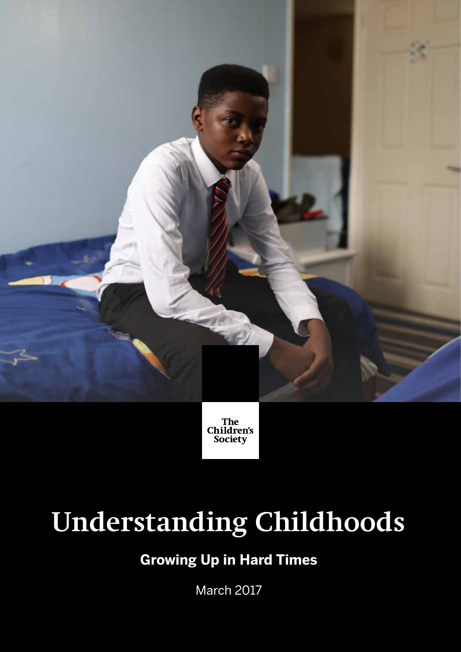

The<br>Children's<br>Society

# **Understanding Childhoods**

# **Growing Up in Hard Times**

March 2017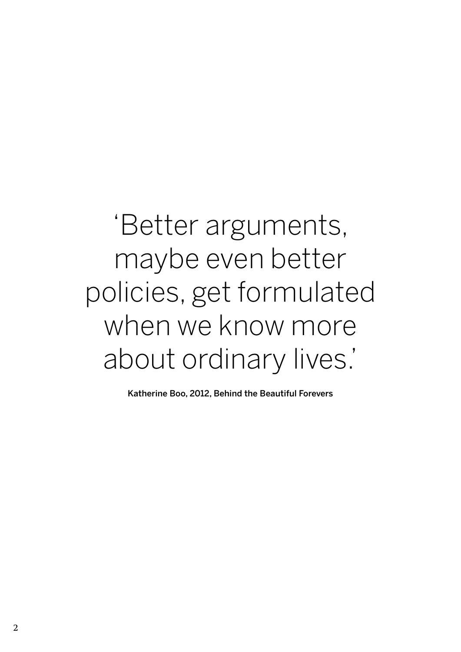# 'Better arguments, maybe even better policies, get formulated when we know more about ordinary lives.'

Katherine Boo, 2012, Behind the Beautiful Forevers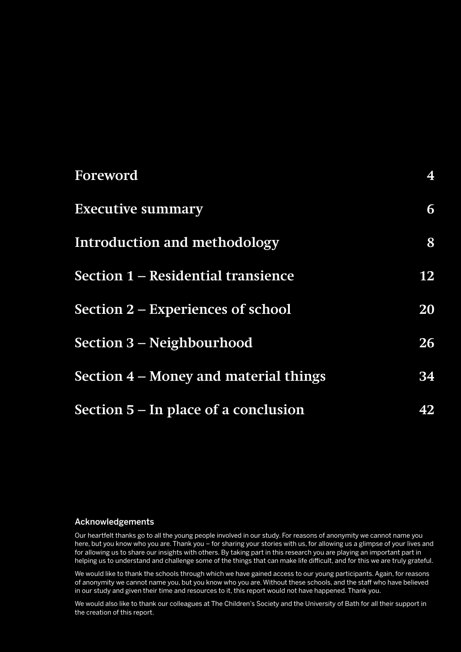| Foreword                              | $\overline{4}$ |
|---------------------------------------|----------------|
| <b>Executive summary</b>              | 6              |
| Introduction and methodology          | 8              |
| Section 1 - Residential transience    | 12             |
| Section 2 – Experiences of school     | 20             |
| <b>Section 3 - Neighbourhood</b>      | 26             |
| Section 4 – Money and material things | 34             |
| Section 5 – In place of a conclusion  | 42             |

#### Acknowledgements

Our heartfelt thanks go to all the young people involved in our study. For reasons of anonymity we cannot name you here, but you know who you are. Thank you – for sharing your stories with us, for allowing us a glimpse of your lives and for allowing us to share our insights with others. By taking part in this research you are playing an important part in helping us to understand and challenge some of the things that can make life difficult, and for this we are truly grateful.

We would like to thank the schools through which we have gained access to our young participants. Again, for reasons of anonymity we cannot name you, but you know who you are. Without these schools, and the staff who have believed in our study and given their time and resources to it, this report would not have happened. Thank you.

We would also like to thank our colleagues at The Children's Society and the University of Bath for all their support in the creation of this report.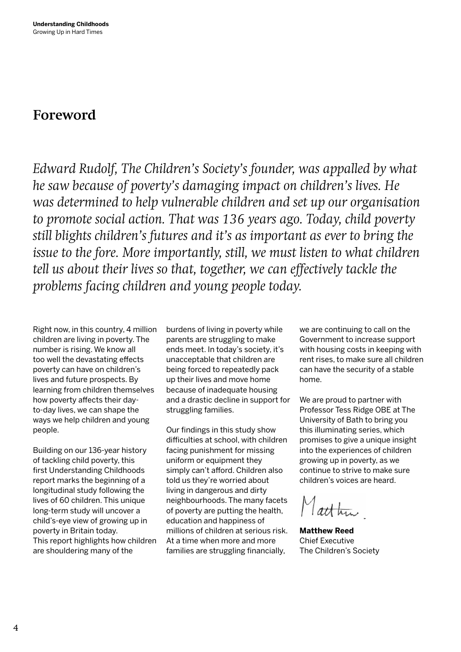# **Foreword**

*Edward Rudolf, The Children's Society's founder, was appalled by what he saw because of poverty's damaging impact on children's lives. He was determined to help vulnerable children and set up our organisation to promote social action. That was 136 years ago. Today, child poverty still blights children's futures and it's as important as ever to bring the issue to the fore. More importantly, still, we must listen to what children tell us about their lives so that, together, we can effectively tackle the problems facing children and young people today.* 

Right now, in this country, 4 million children are living in poverty. The number is rising. We know all too well the devastating effects poverty can have on children's lives and future prospects. By learning from children themselves how poverty affects their dayto-day lives, we can shape the ways we help children and young people.

Building on our 136-year history of tackling child poverty, this first Understanding Childhoods report marks the beginning of a longitudinal study following the lives of 60 children. This unique long-term study will uncover a child's-eye view of growing up in poverty in Britain today. This report highlights how children are shouldering many of the

burdens of living in poverty while parents are struggling to make ends meet. In today's society, it's unacceptable that children are being forced to repeatedly pack up their lives and move home because of inadequate housing and a drastic decline in support for struggling families.

Our findings in this study show difficulties at school, with children facing punishment for missing uniform or equipment they simply can't afford. Children also told us they're worried about living in dangerous and dirty neighbourhoods. The many facets of poverty are putting the health, education and happiness of millions of children at serious risk. At a time when more and more families are struggling financially,

we are continuing to call on the Government to increase support with housing costs in keeping with rent rises, to make sure all children can have the security of a stable home.

We are proud to partner with Professor Tess Ridge OBE at The University of Bath to bring you this illuminating series, which promises to give a unique insight into the experiences of children growing up in poverty, as we continue to strive to make sure children's voices are heard.

atthew

**Matthew Reed** Chief Executive The Children's Society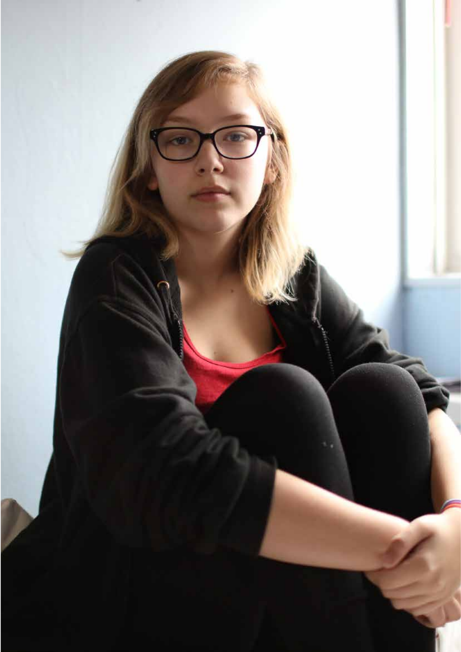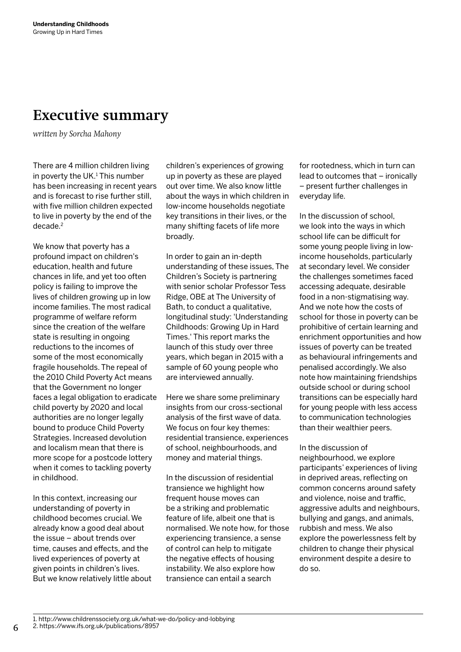# **Executive summary**

*written by Sorcha Mahony*

There are 4 million children living in poverty the UK. $^1$  This number has been increasing in recent years and is forecast to rise further still, with five million children expected to live in poverty by the end of the decade.2

We know that poverty has a profound impact on children's education, health and future chances in life, and yet too often policy is failing to improve the lives of children growing up in low income families. The most radical programme of welfare reform since the creation of the welfare state is resulting in ongoing reductions to the incomes of some of the most economically fragile households. The repeal of the 2010 Child Poverty Act means that the Government no longer faces a legal obligation to eradicate child poverty by 2020 and local authorities are no longer legally bound to produce Child Poverty Strategies. Increased devolution and localism mean that there is more scope for a postcode lottery when it comes to tackling poverty in childhood.

In this context, increasing our understanding of poverty in childhood becomes crucial. We already know a good deal about the issue – about trends over time, causes and effects, and the lived experiences of poverty at given points in children's lives. But we know relatively little about children's experiences of growing up in poverty as these are played out over time. We also know little about the ways in which children in low-income households negotiate key transitions in their lives, or the many shifting facets of life more broadly.

In order to gain an in-depth understanding of these issues, The Children's Society is partnering with senior scholar Professor Tess Ridge, OBE at The University of Bath, to conduct a qualitative, longitudinal study: 'Understanding Childhoods: Growing Up in Hard Times.' This report marks the launch of this study over three years, which began in 2015 with a sample of 60 young people who are interviewed annually.

Here we share some preliminary insights from our cross-sectional analysis of the first wave of data. We focus on four key themes: residential transience, experiences of school, neighbourhoods, and money and material things.

In the discussion of residential transience we highlight how frequent house moves can be a striking and problematic feature of life, albeit one that is normalised. We note how, for those experiencing transience, a sense of control can help to mitigate the negative effects of housing instability. We also explore how transience can entail a search

for rootedness, which in turn can lead to outcomes that – ironically – present further challenges in everyday life.

In the discussion of school, we look into the ways in which school life can be difficult for some young people living in lowincome households, particularly at secondary level. We consider the challenges sometimes faced accessing adequate, desirable food in a non-stigmatising way. And we note how the costs of school for those in poverty can be prohibitive of certain learning and enrichment opportunities and how issues of poverty can be treated as behavioural infringements and penalised accordingly. We also note how maintaining friendships outside school or during school transitions can be especially hard for young people with less access to communication technologies than their wealthier peers.

In the discussion of neighbourhood, we explore participants' experiences of living in deprived areas, reflecting on common concerns around safety and violence, noise and traffic, aggressive adults and neighbours, bullying and gangs, and animals, rubbish and mess. We also explore the powerlessness felt by children to change their physical environment despite a desire to do so.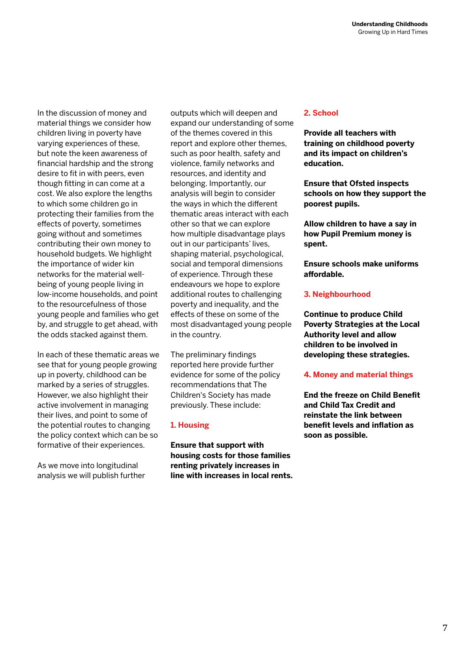In the discussion of money and material things we consider how children living in poverty have varying experiences of these, but note the keen awareness of financial hardship and the strong desire to fit in with peers, even though fitting in can come at a cost. We also explore the lengths to which some children go in protecting their families from the effects of poverty, sometimes going without and sometimes contributing their own money to household budgets. We highlight the importance of wider kin networks for the material wellbeing of young people living in low-income households, and point to the resourcefulness of those young people and families who get by, and struggle to get ahead, with the odds stacked against them.

In each of these thematic areas we see that for young people growing up in poverty, childhood can be marked by a series of struggles. However, we also highlight their active involvement in managing their lives, and point to some of the potential routes to changing the policy context which can be so formative of their experiences.

As we move into longitudinal analysis we will publish further outputs which will deepen and expand our understanding of some of the themes covered in this report and explore other themes, such as poor health, safety and violence, family networks and resources, and identity and belonging. Importantly, our analysis will begin to consider the ways in which the different thematic areas interact with each other so that we can explore how multiple disadvantage plays out in our participants' lives, shaping material, psychological, social and temporal dimensions of experience. Through these endeavours we hope to explore additional routes to challenging poverty and inequality, and the effects of these on some of the most disadvantaged young people in the country.

The preliminary findings reported here provide further evidence for some of the policy recommendations that The Children's Society has made previously. These include:

#### **1. Housing**

**Ensure that support with housing costs for those families renting privately increases in line with increases in local rents.**

#### **2. School**

**Provide all teachers with training on childhood poverty and its impact on children's education.**

**Ensure that Ofsted inspects schools on how they support the poorest pupils.**

**Allow children to have a say in how Pupil Premium money is spent.** 

**Ensure schools make uniforms affordable.**

#### **3. Neighbourhood**

**Continue to produce Child Poverty Strategies at the Local Authority level and allow children to be involved in developing these strategies.** 

#### **4. Money and material things**

**End the freeze on Child Benefit and Child Tax Credit and reinstate the link between benefit levels and inflation as soon as possible.**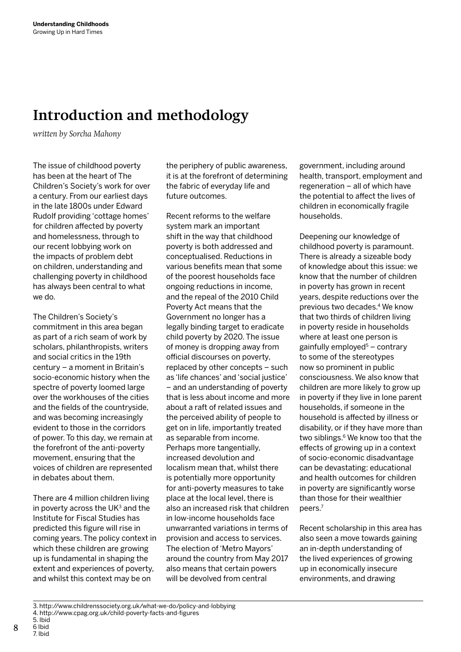# **Introduction and methodology**

*written by Sorcha Mahony*

The issue of childhood poverty has been at the heart of The Children's Society's work for over a century. From our earliest days in the late 1800s under Edward Rudolf providing 'cottage homes' for children affected by poverty and homelessness, through to our recent lobbying work on the impacts of problem debt on children, understanding and challenging poverty in childhood has always been central to what we do.

The Children's Society's commitment in this area began as part of a rich seam of work by scholars, philanthropists, writers and social critics in the 19th century – a moment in Britain's socio-economic history when the spectre of poverty loomed large over the workhouses of the cities and the fields of the countryside, and was becoming increasingly evident to those in the corridors of power. To this day, we remain at the forefront of the anti-poverty movement, ensuring that the voices of children are represented in debates about them.

There are 4 million children living in poverty across the  $UK<sup>3</sup>$  and the Institute for Fiscal Studies has predicted this figure will rise in coming years. The policy context in which these children are growing up is fundamental in shaping the extent and experiences of poverty, and whilst this context may be on

the periphery of public awareness, it is at the forefront of determining the fabric of everyday life and future outcomes.

Recent reforms to the welfare system mark an important shift in the way that childhood poverty is both addressed and conceptualised. Reductions in various benefits mean that some of the poorest households face ongoing reductions in income, and the repeal of the 2010 Child Poverty Act means that the Government no longer has a legally binding target to eradicate child poverty by 2020. The issue of money is dropping away from official discourses on poverty, replaced by other concepts – such as 'life chances' and 'social justice' – and an understanding of poverty that is less about income and more about a raft of related issues and the perceived ability of people to get on in life, importantly treated as separable from income. Perhaps more tangentially, increased devolution and localism mean that, whilst there is potentially more opportunity for anti-poverty measures to take place at the local level, there is also an increased risk that children in low-income households face unwarranted variations in terms of provision and access to services. The election of 'Metro Mayors' around the country from May 2017 also means that certain powers will be devolved from central

government, including around health, transport, employment and regeneration – all of which have the potential to affect the lives of children in economically fragile households.

Deepening our knowledge of childhood poverty is paramount. There is already a sizeable body of knowledge about this issue: we know that the number of children in poverty has grown in recent years, despite reductions over the previous two decades.4 We know that two thirds of children living in poverty reside in households where at least one person is gainfully employed<sup>5</sup> – contrary to some of the stereotypes now so prominent in public consciousness. We also know that children are more likely to grow up in poverty if they live in lone parent households, if someone in the household is affected by illness or disability, or if they have more than two siblings.<sup>6</sup> We know too that the effects of growing up in a context of socio-economic disadvantage can be devastating: educational and health outcomes for children in poverty are significantly worse than those for their wealthier peers.7

Recent scholarship in this area has also seen a move towards gaining an in-depth understanding of the lived experiences of growing up in economically insecure environments, and drawing

5. Ibid

8

<sup>3.</sup> http://www.childrenssociety.org.uk/what-we-do/policy-and-lobbying

<sup>4.</sup> http://www.cpag.org.uk/child-poverty-facts-and-figures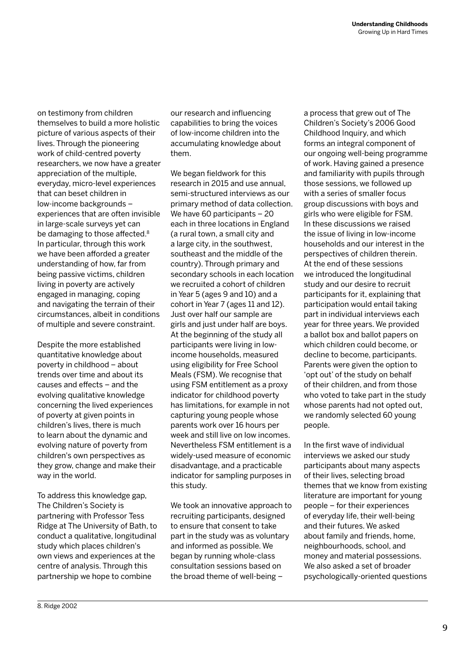on testimony from children themselves to build a more holistic picture of various aspects of their lives. Through the pioneering work of child-centred poverty researchers, we now have a greater appreciation of the multiple, everyday, micro-level experiences that can beset children in low-income backgrounds – experiences that are often invisible in large-scale surveys yet can be damaging to those affected.<sup>8</sup> In particular, through this work we have been afforded a greater understanding of how, far from being passive victims, children living in poverty are actively engaged in managing, coping and navigating the terrain of their circumstances, albeit in conditions of multiple and severe constraint.

Despite the more established quantitative knowledge about poverty in childhood – about trends over time and about its causes and effects – and the evolving qualitative knowledge concerning the lived experiences of poverty at given points in children's lives, there is much to learn about the dynamic and evolving nature of poverty from children's own perspectives as they grow, change and make their way in the world.

To address this knowledge gap, The Children's Society is partnering with Professor Tess Ridge at The University of Bath, to conduct a qualitative, longitudinal study which places children's own views and experiences at the centre of analysis. Through this partnership we hope to combine

our research and influencing capabilities to bring the voices of low-income children into the accumulating knowledge about them.

We began fieldwork for this research in 2015 and use annual, semi-structured interviews as our primary method of data collection. We have 60 participants – 20 each in three locations in England (a rural town, a small city and a large city, in the southwest, southeast and the middle of the country). Through primary and secondary schools in each location we recruited a cohort of children in Year 5 (ages 9 and 10) and a cohort in Year 7 (ages 11 and 12). Just over half our sample are girls and just under half are boys. At the beginning of the study all participants were living in lowincome households, measured using eligibility for Free School Meals (FSM). We recognise that using FSM entitlement as a proxy indicator for childhood poverty has limitations, for example in not capturing young people whose parents work over 16 hours per week and still live on low incomes. Nevertheless FSM entitlement is a widely-used measure of economic disadvantage, and a practicable indicator for sampling purposes in this study.

We took an innovative approach to recruiting participants, designed to ensure that consent to take part in the study was as voluntary and informed as possible. We began by running whole-class consultation sessions based on the broad theme of well-being –

a process that grew out of The Children's Society's 2006 Good Childhood Inquiry, and which forms an integral component of our ongoing well-being programme of work. Having gained a presence and familiarity with pupils through those sessions, we followed up with a series of smaller focus group discussions with boys and girls who were eligible for FSM. In these discussions we raised the issue of living in low-income households and our interest in the perspectives of children therein. At the end of these sessions we introduced the longitudinal study and our desire to recruit participants for it, explaining that participation would entail taking part in individual interviews each year for three years. We provided a ballot box and ballot papers on which children could become, or decline to become, participants. Parents were given the option to 'opt out' of the study on behalf of their children, and from those who voted to take part in the study whose parents had not opted out, we randomly selected 60 young people.

In the first wave of individual interviews we asked our study participants about many aspects of their lives, selecting broad themes that we know from existing literature are important for young people – for their experiences of everyday life, their well-being and their futures. We asked about family and friends, home, neighbourhoods, school, and money and material possessions. We also asked a set of broader psychologically-oriented questions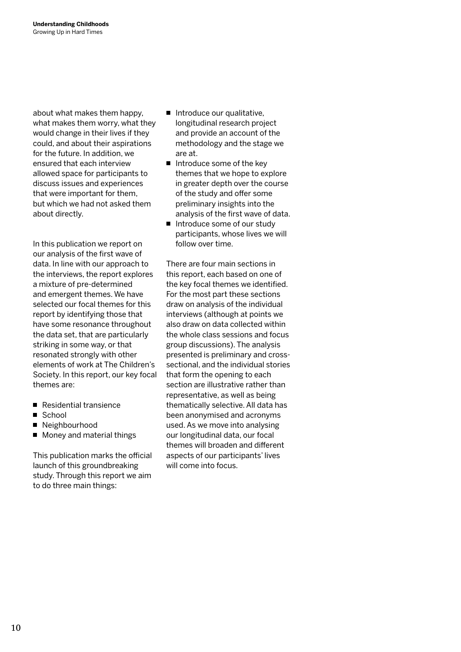about what makes them happy, what makes them worry, what they would change in their lives if they could, and about their aspirations for the future. In addition, we ensured that each interview allowed space for participants to discuss issues and experiences that were important for them, but which we had not asked them about directly.

In this publication we report on our analysis of the first wave of data. In line with our approach to the interviews, the report explores a mixture of pre-determined and emergent themes. We have selected our focal themes for this report by identifying those that have some resonance throughout the data set, that are particularly striking in some way, or that resonated strongly with other elements of work at The Children's Society. In this report, our key focal themes are:

- Residential transience
- School
- Neighbourhood
- Money and material things

This publication marks the official launch of this groundbreaking study. Through this report we aim to do three main things:

- Introduce our qualitative, longitudinal research project and provide an account of the methodology and the stage we are at.
- Introduce some of the key themes that we hope to explore in greater depth over the course of the study and offer some preliminary insights into the analysis of the first wave of data.
- Introduce some of our study participants, whose lives we will follow over time.

There are four main sections in this report, each based on one of the key focal themes we identified. For the most part these sections draw on analysis of the individual interviews (although at points we also draw on data collected within the whole class sessions and focus group discussions). The analysis presented is preliminary and crosssectional, and the individual stories that form the opening to each section are illustrative rather than representative, as well as being thematically selective. All data has been anonymised and acronyms used. As we move into analysing our longitudinal data, our focal themes will broaden and different aspects of our participants' lives will come into focus.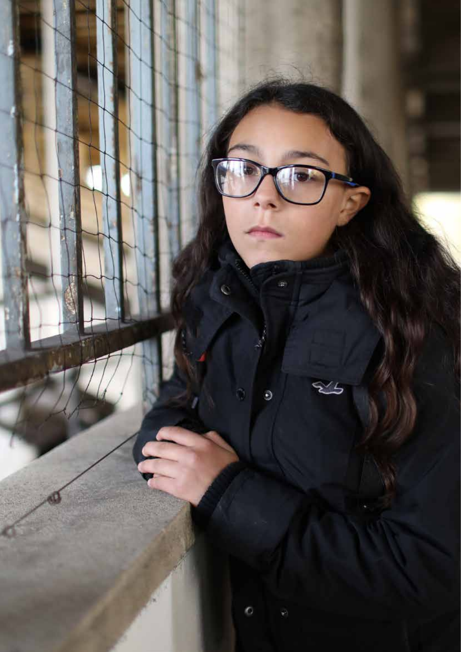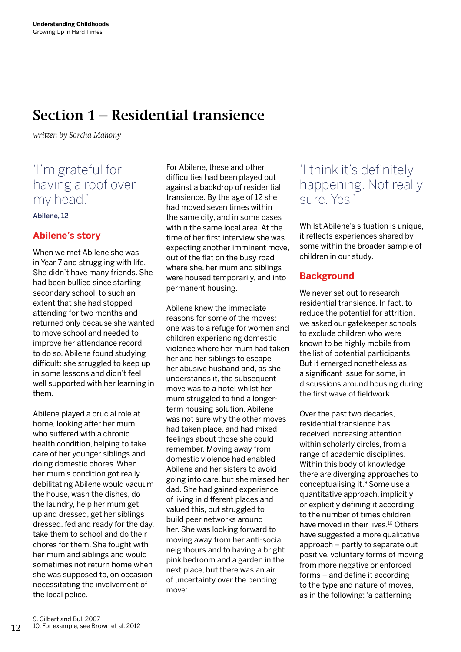# **Section 1 – Residential transience**

*written by Sorcha Mahony*

# 'I'm grateful for having a roof over my head.'

#### Abilene, 12

## **Abilene's story**

When we met Abilene she was in Year 7 and struggling with life. She didn't have many friends. She had been bullied since starting secondary school, to such an extent that she had stopped attending for two months and returned only because she wanted to move school and needed to improve her attendance record to do so. Abilene found studying difficult: she struggled to keep up in some lessons and didn't feel well supported with her learning in them.

Abilene played a crucial role at home, looking after her mum who suffered with a chronic health condition, helping to take care of her younger siblings and doing domestic chores. When her mum's condition got really debilitating Abilene would vacuum the house, wash the dishes, do the laundry, help her mum get up and dressed, get her siblings dressed, fed and ready for the day, take them to school and do their chores for them. She fought with her mum and siblings and would sometimes not return home when she was supposed to, on occasion necessitating the involvement of the local police.

For Abilene, these and other difficulties had been played out against a backdrop of residential transience. By the age of 12 she had moved seven times within the same city, and in some cases within the same local area. At the time of her first interview she was expecting another imminent move, out of the flat on the busy road where she, her mum and siblings were housed temporarily, and into permanent housing.

Abilene knew the immediate reasons for some of the moves: one was to a refuge for women and children experiencing domestic violence where her mum had taken her and her siblings to escape her abusive husband and, as she understands it, the subsequent move was to a hotel whilst her mum struggled to find a longerterm housing solution. Abilene was not sure why the other moves had taken place, and had mixed feelings about those she could remember. Moving away from domestic violence had enabled Abilene and her sisters to avoid going into care, but she missed her dad. She had gained experience of living in different places and valued this, but struggled to build peer networks around her. She was looking forward to moving away from her anti-social neighbours and to having a bright pink bedroom and a garden in the next place, but there was an air of uncertainty over the pending move:

# 'I think it's definitely happening. Not really sure. Yes.'

Whilst Abilene's situation is unique, it reflects experiences shared by some within the broader sample of children in our study.

## **Background**

We never set out to research residential transience. In fact, to reduce the potential for attrition, we asked our gatekeeper schools to exclude children who were known to be highly mobile from the list of potential participants. But it emerged nonetheless as a significant issue for some, in discussions around housing during the first wave of fieldwork.

Over the past two decades, residential transience has received increasing attention within scholarly circles, from a range of academic disciplines. Within this body of knowledge there are diverging approaches to conceptualising it.9 Some use a quantitative approach, implicitly or explicitly defining it according to the number of times children have moved in their lives<sup>10</sup> Others. have suggested a more qualitative approach – partly to separate out positive, voluntary forms of moving from more negative or enforced forms – and define it according to the type and nature of moves, as in the following: 'a patterning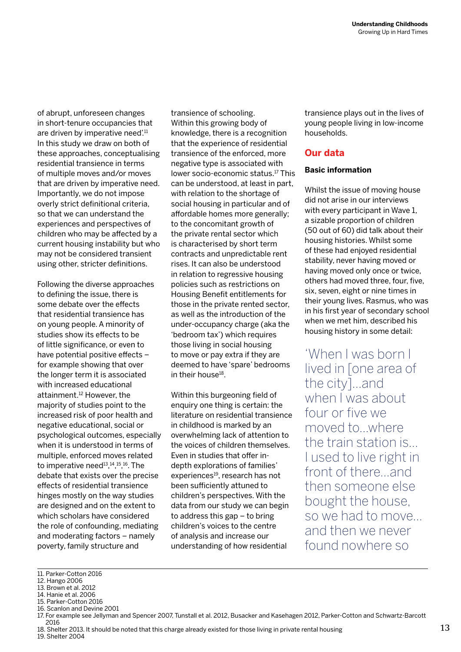of abrupt, unforeseen changes in short-tenure occupancies that are driven by imperative need'.<sup>11</sup> In this study we draw on both of these approaches, conceptualising residential transience in terms of multiple moves and/or moves that are driven by imperative need. Importantly, we do not impose overly strict definitional criteria, so that we can understand the experiences and perspectives of children who may be affected by a current housing instability but who may not be considered transient using other, stricter definitions.

Following the diverse approaches to defining the issue, there is some debate over the effects that residential transience has on young people. A minority of studies show its effects to be of little significance, or even to have potential positive effects – for example showing that over the longer term it is associated with increased educational attainment.<sup>12</sup> However, the majority of studies point to the increased risk of poor health and negative educational, social or psychological outcomes, especially when it is understood in terms of multiple, enforced moves related to imperative need13, 14, 15, 16. The debate that exists over the precise effects of residential transience hinges mostly on the way studies are designed and on the extent to which scholars have considered the role of confounding, mediating and moderating factors – namely poverty, family structure and

transience of schooling. Within this growing body of knowledge, there is a recognition that the experience of residential transience of the enforced, more negative type is associated with lower socio-economic status.17 This can be understood, at least in part, with relation to the shortage of social housing in particular and of affordable homes more generally; to the concomitant growth of the private rental sector which is characterised by short term contracts and unpredictable rent rises. It can also be understood in relation to regressive housing policies such as restrictions on Housing Benefit entitlements for those in the private rented sector, as well as the introduction of the under-occupancy charge (aka the 'bedroom tax') which requires those living in social housing to move or pay extra if they are deemed to have 'spare' bedrooms in their house $18$ .

Within this burgeoning field of enquiry one thing is certain: the literature on residential transience in childhood is marked by an overwhelming lack of attention to the voices of children themselves. Even in studies that offer indepth explorations of families' experiences<sup>19</sup>, research has not been sufficiently attuned to children's perspectives. With the data from our study we can begin to address this gap – to bring children's voices to the centre of analysis and increase our understanding of how residential

transience plays out in the lives of young people living in low-income households.

## **Our data**

#### **Basic information**

Whilst the issue of moving house did not arise in our interviews with every participant in Wave 1, a sizable proportion of children (50 out of 60) did talk about their housing histories. Whilst some of these had enjoyed residential stability, never having moved or having moved only once or twice, others had moved three, four, five, six, seven, eight or nine times in their young lives. Rasmus, who was in his first year of secondary school when we met him, described his housing history in some detail:

'When I was born I lived in [one area of the city]…and when I was about four or five we moved to…where the train station is… I used to live right in front of there…and then someone else bought the house, so we had to move… and then we never found nowhere so

16. Scanlon and Devine 2001

18. Shelter 2013. It should be noted that this charge already existed for those living in private rental housing 19. Shelter 2004

<sup>11.</sup> Parker-Cotton 2016

<sup>12.</sup> Hango 2006

<sup>13.</sup> Brown et al. 2012

<sup>14.</sup> Hanie et al. 2006

<sup>15.</sup> Parker-Cotton 2016

<sup>17.</sup> For example see Jellyman and Spencer 2007, Tunstall et al. 2012, Busacker and Kasehagen 2012, Parker-Cotton and Schwartz-Barcott 2016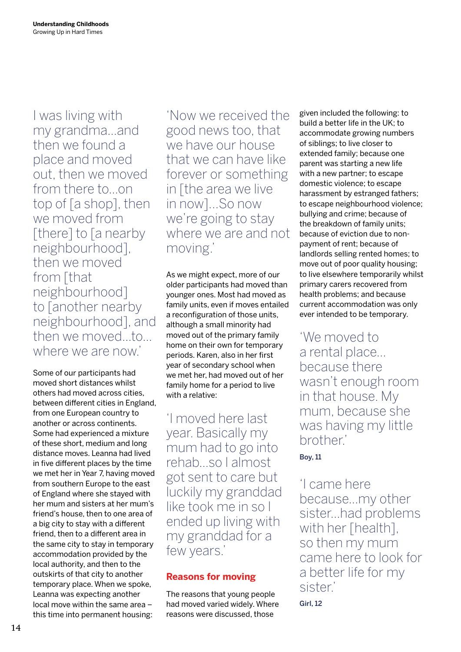I was living with my grandma…and then we found a place and moved out, then we moved from there to…on top of [a shop], then we moved from [there] to [a nearby neighbourhood], then we moved from [that neighbourhood] to [another nearby neighbourhood], and then we moved to where we are now.'

Some of our participants had moved short distances whilst others had moved across cities, between different cities in England, from one European country to another or across continents. Some had experienced a mixture of these short, medium and long distance moves. Leanna had lived in five different places by the time we met her in Year 7, having moved from southern Europe to the east of England where she stayed with her mum and sisters at her mum's friend's house, then to one area of a big city to stay with a different friend, then to a different area in the same city to stay in temporary accommodation provided by the local authority, and then to the outskirts of that city to another temporary place. When we spoke, Leanna was expecting another local move within the same area – this time into permanent housing:

'Now we received the good news too, that we have our house that we can have like forever or something in [the area we live in now]...So now we're going to stay where we are and not moving.'

As we might expect, more of our older participants had moved than younger ones. Most had moved as family units, even if moves entailed a reconfiguration of those units, although a small minority had moved out of the primary family home on their own for temporary periods. Karen, also in her first year of secondary school when we met her, had moved out of her family home for a period to live with a relative:

'I moved here last year. Basically my mum had to go into rehab…so I almost got sent to care but luckily my granddad like took me in so I ended up living with my granddad for a few years.'

## **Reasons for moving**

The reasons that young people had moved varied widely. Where reasons were discussed, those

given included the following: to build a better life in the UK; to accommodate growing numbers of siblings; to live closer to extended family; because one parent was starting a new life with a new partner; to escape domestic violence; to escape harassment by estranged fathers; to escape neighbourhood violence; bullying and crime; because of the breakdown of family units; because of eviction due to nonpayment of rent; because of landlords selling rented homes; to move out of poor quality housing; to live elsewhere temporarily whilst primary carers recovered from health problems; and because current accommodation was only ever intended to be temporary.

'We moved to a rental place… because there wasn't enough room in that house. My mum, because she was having my little brother.'

Boy, 11

'I came here because…my other sister…had problems with her [health], so then my mum came here to look for a better life for my sister.'

Girl, 12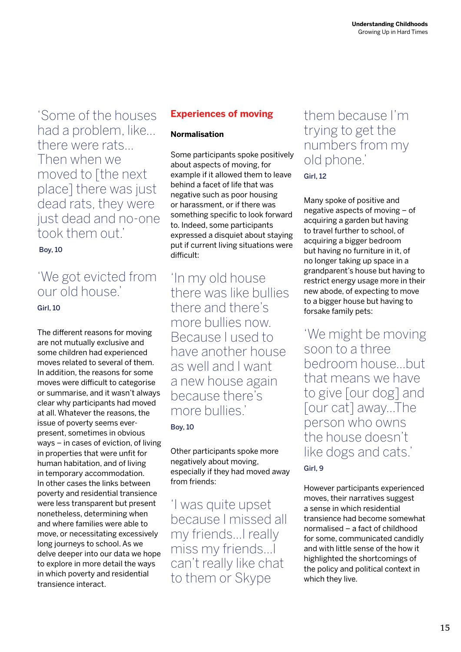'Some of the houses had a problem, like… there were rats… Then when we moved to [the next place] there was just dead rats, they were just dead and no-one took them out.'

#### Boy, 10

# 'We got evicted from our old house.'

## Girl, 10

The different reasons for moving are not mutually exclusive and some children had experienced moves related to several of them. In addition, the reasons for some moves were difficult to categorise or summarise, and it wasn't always clear why participants had moved at all. Whatever the reasons, the issue of poverty seems everpresent, sometimes in obvious ways – in cases of eviction, of living in properties that were unfit for human habitation, and of living in temporary accommodation. In other cases the links between poverty and residential transience were less transparent but present nonetheless, determining when and where families were able to move, or necessitating excessively long journeys to school. As we delve deeper into our data we hope to explore in more detail the ways in which poverty and residential transience interact.

## **Experiences of moving**

#### **Normalisation**

Some participants spoke positively about aspects of moving, for example if it allowed them to leave behind a facet of life that was negative such as poor housing or harassment, or if there was something specific to look forward to. Indeed, some participants expressed a disquiet about staying put if current living situations were difficult:

'In my old house there was like bullies there and there's more bullies now. Because I used to have another house as well and I want a new house again because there's more bullies.'

## Boy, 10

Other participants spoke more negatively about moving, especially if they had moved away from friends:

'I was quite upset because I missed all my friends…I really miss my friends…I can't really like chat to them or Skype

# them because I'm trying to get the numbers from my old phone.'

Girl, 12

Many spoke of positive and negative aspects of moving – of acquiring a garden but having to travel further to school, of acquiring a bigger bedroom but having no furniture in it, of no longer taking up space in a grandparent's house but having to restrict energy usage more in their new abode, of expecting to move to a bigger house but having to forsake family pets:

'We might be moving soon to a three bedroom house…but that means we have to give [our dog] and [our cat] away…The person who owns the house doesn't like dogs and cats.'

Girl, 9

However participants experienced moves, their narratives suggest a sense in which residential transience had become somewhat normalised – a fact of childhood for some, communicated candidly and with little sense of the how it highlighted the shortcomings of the policy and political context in which they live.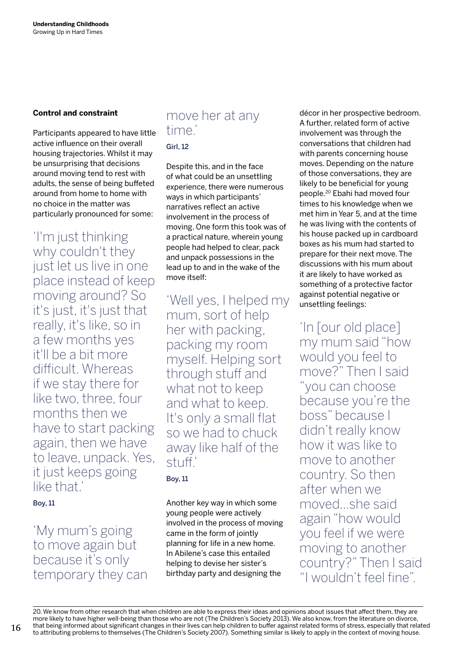#### **Control and constraint**

Participants appeared to have little active influence on their overall housing trajectories. Whilst it may be unsurprising that decisions around moving tend to rest with adults, the sense of being buffeted around from home to home with no choice in the matter was particularly pronounced for some:

'I'm just thinking why couldn't they just let us live in one place instead of keep moving around? So it's just, it's just that really, it's like, so in a few months yes it'll be a bit more difficult. Whereas if we stay there for like two, three, four months then we have to start packing again, then we have to leave, unpack. Yes, it just keeps going like that.'

## Boy, 11

# 'My mum's going to move again but because it's only temporary they can

# move her at any time.'

#### Girl, 12

Despite this, and in the face of what could be an unsettling experience, there were numerous ways in which participants' narratives reflect an active involvement in the process of moving. One form this took was of a practical nature, wherein young people had helped to clear, pack and unpack possessions in the lead up to and in the wake of the move itself:

'Well yes, I helped my mum, sort of help her with packing, packing my room myself. Helping sort through stuff and what not to keep and what to keep. It's only a small flat so we had to chuck away like half of the stuff.'

#### Boy, 11

Another key way in which some young people were actively involved in the process of moving came in the form of jointly planning for life in a new home. In Abilene's case this entailed helping to devise her sister's birthday party and designing the

décor in her prospective bedroom. A further, related form of active involvement was through the conversations that children had with parents concerning house moves. Depending on the nature of those conversations, they are likely to be beneficial for young people.20 Ebahi had moved four times to his knowledge when we met him in Year 5, and at the time he was living with the contents of his house packed up in cardboard boxes as his mum had started to prepare for their next move. The discussions with his mum about it are likely to have worked as something of a protective factor against potential negative or unsettling feelings:

'In [our old place] my mum said "how would you feel to move?" Then I said "you can choose because you're the boss" because I didn't really know how it was like to move to another country. So then after when we moved…she said again "how would you feel if we were moving to another country?" Then I said "I wouldn't feel fine".

20. We know from other research that when children are able to express their ideas and opinions about issues that affect them, they are more likely to have higher well-being than those who are not (The Children's Society 2013). We also know, from the literature on divorce, that being informed about significant changes in their lives can help children to buffer against related forms of stress, especially that related to attributing problems to themselves (The Children's Society 2007). Something similar is likely to apply in the context of moving house.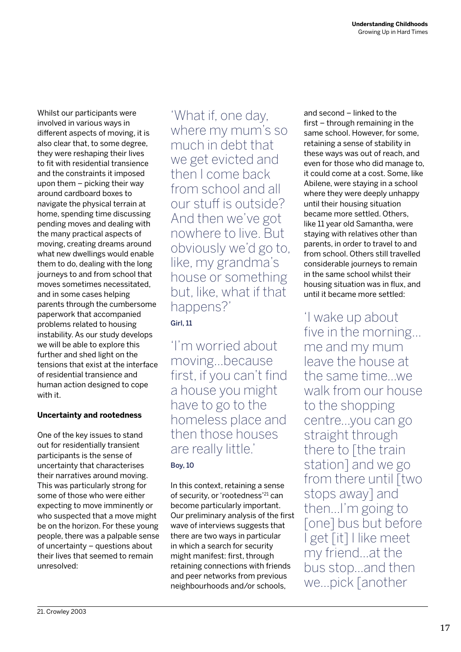Whilst our participants were involved in various ways in different aspects of moving, it is also clear that, to some degree, they were reshaping their lives to fit with residential transience and the constraints it imposed upon them – picking their way around cardboard boxes to navigate the physical terrain at home, spending time discussing pending moves and dealing with the many practical aspects of moving, creating dreams around what new dwellings would enable them to do, dealing with the long journeys to and from school that moves sometimes necessitated, and in some cases helping parents through the cumbersome paperwork that accompanied problems related to housing instability. As our study develops we will be able to explore this further and shed light on the tensions that exist at the interface of residential transience and human action designed to cope with it.

## **Uncertainty and rootedness**

One of the key issues to stand out for residentially transient participants is the sense of uncertainty that characterises their narratives around moving. This was particularly strong for some of those who were either expecting to move imminently or who suspected that a move might be on the horizon. For these young people, there was a palpable sense of uncertainty – questions about their lives that seemed to remain unresolved:

'What if, one day, where my mum's so much in debt that we get evicted and then I come back from school and all our stuff is outside? And then we've got nowhere to live. But obviously we'd go to, like, my grandma's house or something but, like, what if that happens?'

# Girl, 11

'I'm worried about moving…because first, if you can't find a house you might have to go to the homeless place and then those houses are really little.'

## Boy, 10

In this context, retaining a sense of security, or 'rootedness'<sup>21</sup> can become particularly important. Our preliminary analysis of the first wave of interviews suggests that there are two ways in particular in which a search for security might manifest: first, through retaining connections with friends and peer networks from previous neighbourhoods and/or schools,

and second – linked to the first – through remaining in the same school. However, for some, retaining a sense of stability in these ways was out of reach, and even for those who did manage to, it could come at a cost. Some, like Abilene, were staying in a school where they were deeply unhappy until their housing situation became more settled. Others, like 11 year old Samantha, were staying with relatives other than parents, in order to travel to and from school. Others still travelled considerable journeys to remain in the same school whilst their housing situation was in flux, and until it became more settled:

'I wake up about five in the morning… me and my mum leave the house at the same time…we walk from our house to the shopping centre…you can go straight through there to [the train station] and we go from there until [two stops away] and then…I'm going to [one] bus but before I get [it] I like meet my friend…at the bus stop…and then we…pick [another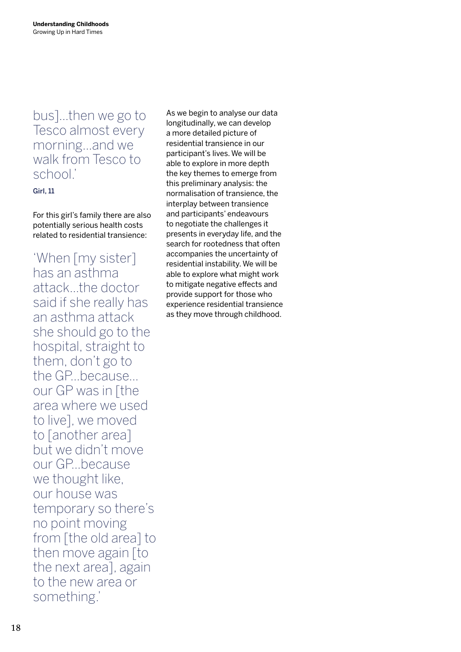bus]…then we go to Tesco almost every morning…and we walk from Tesco to school.'

## Girl, 11

For this girl's family there are also potentially serious health costs related to residential transience:

'When [my sister] has an asthma attack…the doctor said if she really has an asthma attack she should go to the hospital, straight to them, don't go to the GP…because… our GP was in [the area where we used to live], we moved to [another area] but we didn't move our GP…because we thought like, our house was temporary so there's no point moving from [the old area] to then move again [to the next area], again to the new area or something.'

As we begin to analyse our data longitudinally, we can develop a more detailed picture of residential transience in our participant's lives. We will be able to explore in more depth the key themes to emerge from this preliminary analysis: the normalisation of transience, the interplay between transience and participants' endeavours to negotiate the challenges it presents in everyday life, and the search for rootedness that often accompanies the uncertainty of residential instability. We will be able to explore what might work to mitigate negative effects and provide support for those who experience residential transience as they move through childhood.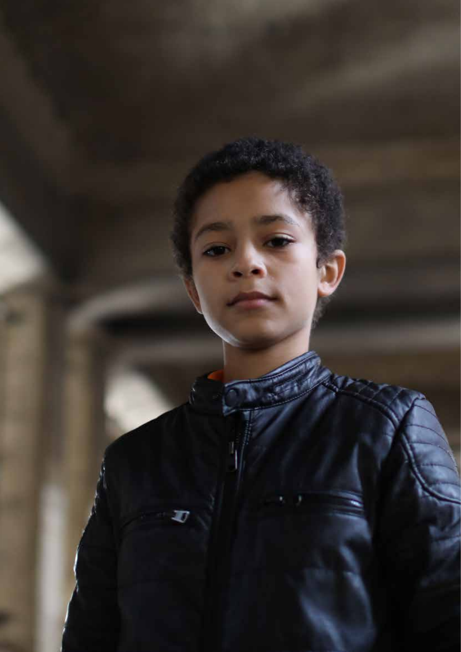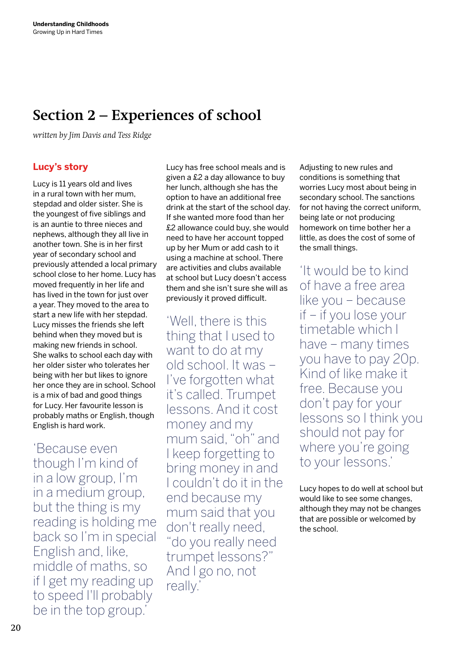# **Section 2 – Experiences of school**

*written by Jim Davis and Tess Ridge*

# **Lucy's story**

Lucy is 11 years old and lives in a rural town with her mum, stepdad and older sister. She is the youngest of five siblings and is an auntie to three nieces and nephews, although they all live in another town. She is in her first year of secondary school and previously attended a local primary school close to her home. Lucy has moved frequently in her life and has lived in the town for just over a year. They moved to the area to start a new life with her stepdad. Lucy misses the friends she left behind when they moved but is making new friends in school. She walks to school each day with her older sister who tolerates her being with her but likes to ignore her once they are in school. School is a mix of bad and good things for Lucy. Her favourite lesson is probably maths or English, though English is hard work.

'Because even though I'm kind of in a low group, I'm in a medium group, but the thing is my reading is holding me back so I'm in special English and, like, middle of maths, so if I get my reading up to speed I'll probably be in the top group.'

Lucy has free school meals and is given a £2 a day allowance to buy her lunch, although she has the option to have an additional free drink at the start of the school day. If she wanted more food than her £2 allowance could buy, she would need to have her account topped up by her Mum or add cash to it using a machine at school. There are activities and clubs available at school but Lucy doesn't access them and she isn't sure she will as previously it proved difficult.

'Well, there is this thing that I used to want to do at my old school. It was – I've forgotten what it's called. Trumpet lessons. And it cost money and my mum said, "oh" and I keep forgetting to bring money in and I couldn't do it in the end because my mum said that you don't really need, "do you really need trumpet lessons?" And I go no, not really.'

Adjusting to new rules and conditions is something that worries Lucy most about being in secondary school. The sanctions for not having the correct uniform, being late or not producing homework on time bother her a little, as does the cost of some of the small things.

'It would be to kind of have a free area like you – because if – if you lose your timetable which I have – many times you have to pay 20p. Kind of like make it free. Because you don't pay for your lessons so I think you should not pay for where you're going to your lessons.'

Lucy hopes to do well at school but would like to see some changes, although they may not be changes that are possible or welcomed by the school.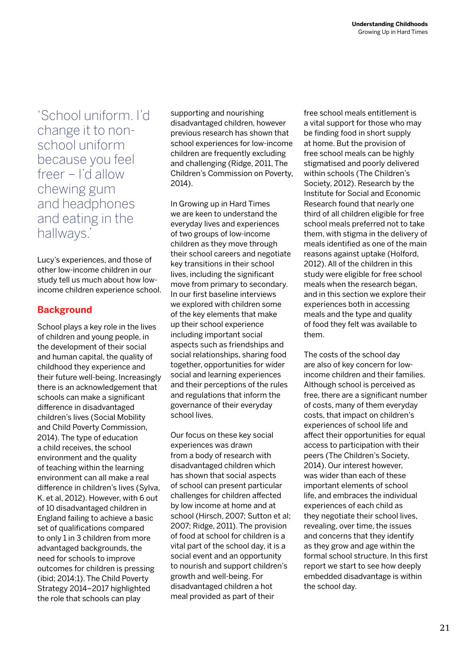'School uniform. I'd change it to nonschool uniform because you feel freer – I'd allow chewing gum and headphones and eating in the hallways.'

Lucy's experiences, and those of other low-income children in our study tell us much about how lowincome children experience school.

## **Background**

School plays a key role in the lives of children and young people, in the development of their social and human capital, the quality of childhood they experience and their future well-being. Increasingly there is an acknowledgement that schools can make a significant difference in disadvantaged children's lives (Social Mobility and Child Poverty Commission, 2014). The type of education a child receives, the school environment and the quality of teaching within the learning environment can all make a real difference in children's lives (Sylva, K. et al, 2012). However, with 6 out of 10 disadvantaged children in England failing to achieve a basic set of qualifications compared to only 1 in 3 children from more advantaged backgrounds, the need for schools to improve outcomes for children is pressing (ibid; 2014:1). The Child Poverty Strategy 2014–2017 highlighted the role that schools can play

supporting and nourishing disadvantaged children, however previous research has shown that school experiences for low-income children are frequently excluding and challenging (Ridge, 2011, The Children's Commission on Poverty, 2014).

In Growing up in Hard Times we are keen to understand the everyday lives and experiences of two groups of low-income children as they move through their school careers and negotiate key transitions in their school lives, including the significant move from primary to secondary. In our first baseline interviews we explored with children some of the key elements that make up their school experience including important social aspects such as friendships and social relationships, sharing food together, opportunities for wider social and learning experiences and their perceptions of the rules and regulations that inform the governance of their everyday school lives.

Our focus on these key social experiences was drawn from a body of research with disadvantaged children which has shown that social aspects of school can present particular challenges for children affected by low income at home and at school (Hirsch, 2007; Sutton et al; 2007; Ridge, 2011). The provision of food at school for children is a vital part of the school day, it is a social event and an opportunity to nourish and support children's growth and well-being. For disadvantaged children a hot meal provided as part of their

free school meals entitlement is a vital support for those who may be finding food in short supply at home. But the provision of free school meals can be highly stigmatised and poorly delivered within schools (The Children's Society, 2012). Research by the Institute for Social and Economic Research found that nearly one third of all children eligible for free school meals preferred not to take them, with stigma in the delivery of meals identified as one of the main reasons against uptake (Holford, 2012). All of the children in this study were eligible for free school meals when the research began, and in this section we explore their experiences both in accessing meals and the type and quality of food they felt was available to them.

The costs of the school day are also of key concern for lowincome children and their families. Although school is perceived as free, there are a significant number of costs, many of them everyday costs, that impact on children's experiences of school life and affect their opportunities for equal access to participation with their peers (The Children's Society, 2014). Our interest however, was wider than each of these important elements of school life, and embraces the individual experiences of each child as they negotiate their school lives, revealing, over time, the issues and concerns that they identify as they grow and age within the formal school structure. In this first report we start to see how deeply embedded disadvantage is within the school day.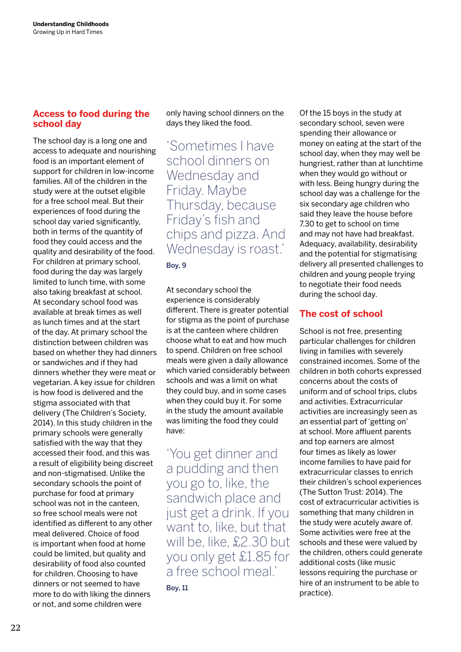#### **Access to food during the school day**

The school day is a long one and access to adequate and nourishing food is an important element of support for children in low-income families. All of the children in the study were at the outset eligible for a free school meal. But their experiences of food during the school day varied significantly, both in terms of the quantity of food they could access and the quality and desirability of the food. For children at primary school, food during the day was largely limited to lunch time, with some also taking breakfast at school. At secondary school food was available at break times as well as lunch times and at the start of the day. At primary school the distinction between children was based on whether they had dinners or sandwiches and if they had dinners whether they were meat or vegetarian. A key issue for children is how food is delivered and the stigma associated with that delivery (The Children's Society, 2014). In this study children in the primary schools were generally satisfied with the way that they accessed their food, and this was a result of eligibility being discreet and non-stigmatised. Unlike the secondary schools the point of purchase for food at primary school was not in the canteen, so free school meals were not identified as different to any other meal delivered. Choice of food is important when food at home could be limited, but quality and desirability of food also counted for children. Choosing to have dinners or not seemed to have more to do with liking the dinners or not, and some children were

only having school dinners on the days they liked the food.

'Sometimes I have school dinners on Wednesday and Friday. Maybe Thursday, because Friday's fish and chips and pizza. And Wednesday is roast.'

Boy, 9

At secondary school the experience is considerably different. There is greater potential for stigma as the point of purchase is at the canteen where children choose what to eat and how much to spend. Children on free school meals were given a daily allowance which varied considerably between schools and was a limit on what they could buy, and in some cases when they could buy it. For some in the study the amount available was limiting the food they could have:

'You get dinner and a pudding and then you go to, like, the sandwich place and just get a drink. If you want to, like, but that will be, like, £2.30 but you only get £1.85 for a free school meal.'

Boy, 11

Of the 15 boys in the study at secondary school, seven were spending their allowance or money on eating at the start of the school day, when they may well be hungriest, rather than at lunchtime when they would go without or with less. Being hungry during the school day was a challenge for the six secondary age children who said they leave the house before 7.30 to get to school on time and may not have had breakfast. Adequacy, availability, desirability and the potential for stigmatising delivery all presented challenges to children and young people trying to negotiate their food needs during the school day.

## **The cost of school**

School is not free, presenting particular challenges for children living in families with severely constrained incomes. Some of the children in both cohorts expressed concerns about the costs of uniform and of school trips, clubs and activities. Extracurricular activities are increasingly seen as an essential part of 'getting on' at school. More affluent parents and top earners are almost four times as likely as lower income families to have paid for extracurricular classes to enrich their children's school experiences (The Sutton Trust: 2014). The cost of extracurricular activities is something that many children in the study were acutely aware of. Some activities were free at the schools and these were valued by the children, others could generate additional costs (like music lessons requiring the purchase or hire of an instrument to be able to practice).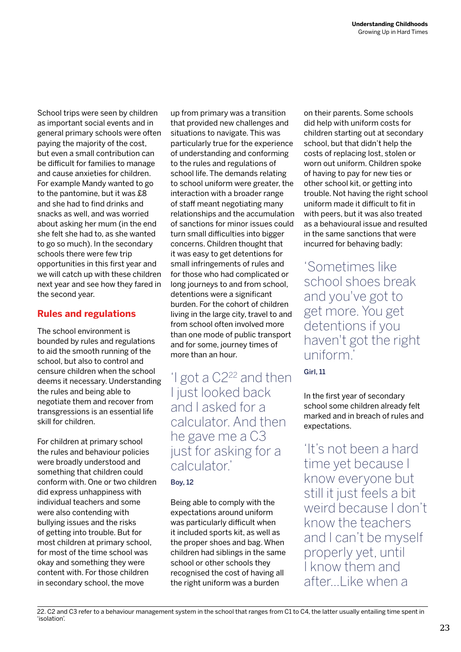School trips were seen by children as important social events and in general primary schools were often paying the majority of the cost, but even a small contribution can be difficult for families to manage and cause anxieties for children. For example Mandy wanted to go to the pantomine, but it was £8 and she had to find drinks and snacks as well, and was worried about asking her mum (in the end she felt she had to, as she wanted to go so much). In the secondary schools there were few trip opportunities in this first year and we will catch up with these children next year and see how they fared in the second year.

## **Rules and regulations**

The school environment is bounded by rules and regulations to aid the smooth running of the school, but also to control and censure children when the school deems it necessary. Understanding the rules and being able to negotiate them and recover from transgressions is an essential life skill for children.

For children at primary school the rules and behaviour policies were broadly understood and something that children could conform with. One or two children did express unhappiness with individual teachers and some were also contending with bullying issues and the risks of getting into trouble. But for most children at primary school, for most of the time school was okay and something they were content with. For those children in secondary school, the move

up from primary was a transition that provided new challenges and situations to navigate. This was particularly true for the experience of understanding and conforming to the rules and regulations of school life. The demands relating to school uniform were greater, the interaction with a broader range of staff meant negotiating many relationships and the accumulation of sanctions for minor issues could turn small difficulties into bigger concerns. Children thought that it was easy to get detentions for small infringements of rules and for those who had complicated or long journeys to and from school. detentions were a significant burden. For the cohort of children living in the large city, travel to and from school often involved more than one mode of public transport and for some, journey times of more than an hour.

'I got a C222 and then I just looked back and I asked for a calculator. And then he gave me a C3 just for asking for a calculator.'

#### Boy, 12

Being able to comply with the expectations around uniform was particularly difficult when it included sports kit, as well as the proper shoes and bag. When children had siblings in the same school or other schools they recognised the cost of having all the right uniform was a burden

on their parents. Some schools did help with uniform costs for children starting out at secondary school, but that didn't help the costs of replacing lost, stolen or worn out uniform. Children spoke of having to pay for new ties or other school kit, or getting into trouble. Not having the right school uniform made it difficult to fit in with peers, but it was also treated as a behavioural issue and resulted in the same sanctions that were incurred for behaving badly:

'Sometimes like school shoes break and you've got to get more. You get detentions if you haven't got the right uniform.'

Girl, 11

In the first year of secondary school some children already felt marked and in breach of rules and expectations.

'It's not been a hard time yet because I know everyone but still it just feels a bit weird because I don't know the teachers and I can't be myself properly yet, until I know them and after Like when a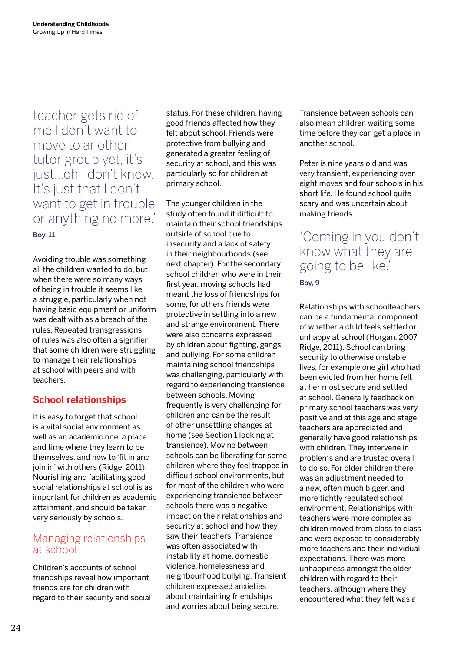teacher gets rid of me I don't want to move to another tutor group yet, it's just…oh I don't know. It's just that I don't want to get in trouble or anything no more.'

#### Boy, 11

Avoiding trouble was something all the children wanted to do, but when there were so many ways of being in trouble it seems like a struggle, particularly when not having basic equipment or uniform was dealt with as a breach of the rules. Repeated transgressions of rules was also often a signifier that some children were struggling to manage their relationships at school with peers and with teachers.

## **School relationships**

It is easy to forget that school is a vital social environment as well as an academic one, a place and time where they learn to be themselves, and how to 'fit in and join in' with others (Ridge, 2011). Nourishing and facilitating good social relationships at school is as important for children as academic attainment, and should be taken very seriously by schools.

# Managing relationships at school

Children's accounts of school friendships reveal how important friends are for children with regard to their security and social status. For these children, having good friends affected how they felt about school. Friends were protective from bullying and generated a greater feeling of security at school, and this was particularly so for children at primary school.

The younger children in the study often found it difficult to maintain their school friendships outside of school due to insecurity and a lack of safety in their neighbourhoods (see next chapter). For the secondary school children who were in their first year, moving schools had meant the loss of friendships for some, for others friends were protective in settling into a new and strange environment. There were also concerns expressed by children about fighting, gangs and bullying. For some children maintaining school friendships was challenging, particularly with regard to experiencing transience between schools. Moving frequently is very challenging for children and can be the result of other unsettling changes at home (see Section 1 looking at transience). Moving between schools can be liberating for some children where they feel trapped in difficult school environments, but for most of the children who were experiencing transience between schools there was a negative impact on their relationships and security at school and how they saw their teachers. Transience was often associated with instability at home, domestic violence, homelessness and neighbourhood bullying. Transient children expressed anxieties about maintaining friendships and worries about being secure.

Transience between schools can also mean children waiting some time before they can get a place in another school.

Peter is nine years old and was very transient, experiencing over eight moves and four schools in his short life. He found school quite scary and was uncertain about making friends.

# 'Coming in you don't know what they are going to be like.'

#### Boy, 9

Relationships with schoolteachers can be a fundamental component of whether a child feels settled or unhappy at school (Horgan, 2007; Ridge, 2011). School can bring security to otherwise unstable lives, for example one girl who had been evicted from her home felt at her most secure and settled at school. Generally feedback on primary school teachers was very positive and at this age and stage teachers are appreciated and generally have good relationships with children. They intervene in problems and are trusted overall to do so. For older children there was an adjustment needed to a new, often much bigger, and more tightly regulated school environment. Relationships with teachers were more complex as children moved from class to class and were exposed to considerably more teachers and their individual expectations. There was more unhappiness amongst the older children with regard to their teachers, although where they encountered what they felt was a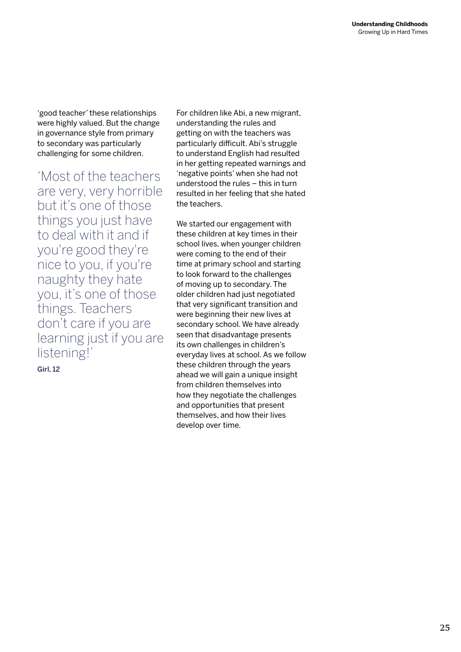'good teacher' these relationships were highly valued. But the change in governance style from primary to secondary was particularly challenging for some children.

'Most of the teachers are very, very horrible but it's one of those things you just have to deal with it and if you're good they're nice to you, if you're naughty they hate you, it's one of those things. Teachers don't care if you are learning just if you are listening!'

Girl, 12

For children like Abi, a new migrant, understanding the rules and getting on with the teachers was particularly difficult. Abi's struggle to understand English had resulted in her getting repeated warnings and 'negative points' when she had not understood the rules – this in turn resulted in her feeling that she hated the teachers.

We started our engagement with these children at key times in their school lives, when younger children were coming to the end of their time at primary school and starting to look forward to the challenges of moving up to secondary. The older children had just negotiated that very significant transition and were beginning their new lives at secondary school. We have already seen that disadvantage presents its own challenges in children's everyday lives at school. As we follow these children through the years ahead we will gain a unique insight from children themselves into how they negotiate the challenges and opportunities that present themselves, and how their lives develop over time.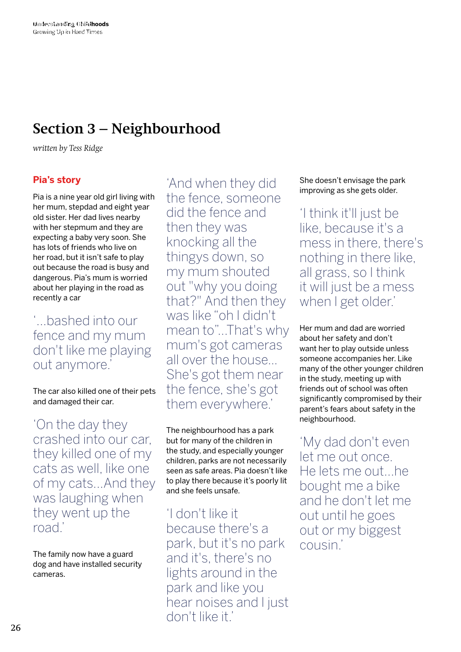# **Section 3 – Neighbourhood**

*written by Tess Ridge*

# **Pia's story**

Pia is a nine year old girl living with her mum, stepdad and eight year old sister. Her dad lives nearby with her stepmum and they are expecting a baby very soon. She has lots of friends who live on her road, but it isn't safe to play out because the road is busy and dangerous. Pia's mum is worried about her playing in the road as recently a car

'...bashed into our fence and my mum don't like me playing out anymore.'

The car also killed one of their pets and damaged their car.

'On the day they crashed into our car, they killed one of my cats as well, like one of my cats...And they was laughing when they went up the road.'

The family now have a guard dog and have installed security cameras.

'And when they did the fence, someone did the fence and then they was knocking all the thingys down, so my mum shouted out "why you doing that?" And then they was like "oh I didn't mean to"...That's why mum's got cameras all over the house… She's got them near the fence, she's got them everywhere.'

The neighbourhood has a park but for many of the children in the study, and especially younger children, parks are not necessarily seen as safe areas. Pia doesn't like to play there because it's poorly lit and she feels unsafe.

'I don't like it because there's a park, but it's no park and it's, there's no lights around in the park and like you hear noises and I just don't like it.'

She doesn't envisage the park improving as she gets older.

'I think it'll just be like, because it's a mess in there, there's nothing in there like, all grass, so I think it will just be a mess when I get older.'

Her mum and dad are worried about her safety and don't want her to play outside unless someone accompanies her. Like many of the other younger children in the study, meeting up with friends out of school was often significantly compromised by their parent's fears about safety in the neighbourhood.

'My dad don't even let me out once. He lets me out...he bought me a bike and he don't let me out until he goes out or my biggest cousin.'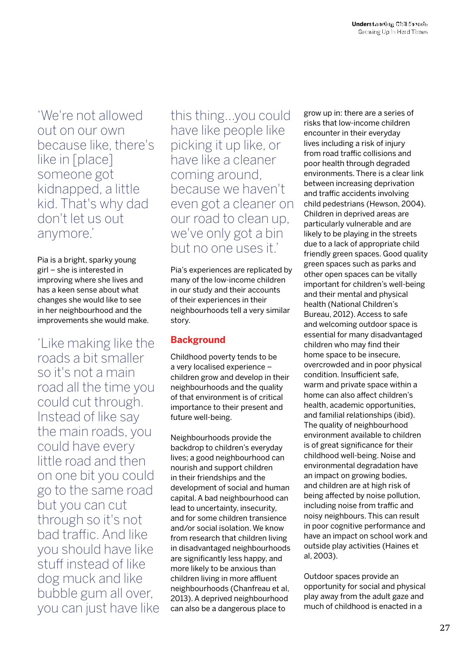'We're not allowed out on our own because like, there's like in [place] someone got kidnapped, a little kid. That's why dad don't let us out anymore.'

Pia is a bright, sparky young girl – she is interested in improving where she lives and has a keen sense about what changes she would like to see in her neighbourhood and the improvements she would make.

'Like making like the roads a bit smaller so it's not a main road all the time you could cut through. Instead of like say the main roads, you could have every little road and then on one bit you could go to the same road but you can cut through so it's not bad traffic. And like you should have like stuff instead of like dog muck and like bubble gum all over, you can just have like this thing...you could have like people like picking it up like, or have like a cleaner coming around, because we haven't even got a cleaner on our road to clean up, we've only got a bin but no one uses it.'

Pia's experiences are replicated by many of the low-income children in our study and their accounts of their experiences in their neighbourhoods tell a very similar story.

# **Background**

Childhood poverty tends to be a very localised experience – children grow and develop in their neighbourhoods and the quality of that environment is of critical importance to their present and future well-being.

Neighbourhoods provide the backdrop to children's everyday lives; a good neighbourhood can nourish and support children in their friendships and the development of social and human capital. A bad neighbourhood can lead to uncertainty, insecurity, and for some children transience and/or social isolation. We know from research that children living in disadvantaged neighbourhoods are significantly less happy, and more likely to be anxious than children living in more affluent neighbourhoods (Chanfreau et al, 2013). A deprived neighbourhood can also be a dangerous place to

grow up in: there are a series of risks that low-income children encounter in their everyday lives including a risk of injury from road traffic collisions and poor health through degraded environments. There is a clear link between increasing deprivation and traffic accidents involving child pedestrians (Hewson, 2004). Children in deprived areas are particularly vulnerable and are likely to be playing in the streets due to a lack of appropriate child friendly green spaces. Good quality green spaces such as parks and other open spaces can be vitally important for children's well-being and their mental and physical health (National Children's Bureau, 2012). Access to safe and welcoming outdoor space is essential for many disadvantaged children who may find their home space to be insecure, overcrowded and in poor physical condition. Insufficient safe, warm and private space within a home can also affect children's health, academic opportunities, and familial relationships (ibid). The quality of neighbourhood environment available to children is of great significance for their childhood well-being. Noise and environmental degradation have an impact on growing bodies, and children are at high risk of being affected by noise pollution, including noise from traffic and noisy neighbours. This can result in poor cognitive performance and have an impact on school work and outside play activities (Haines et al, 2003).

Outdoor spaces provide an opportunity for social and physical play away from the adult gaze and much of childhood is enacted in a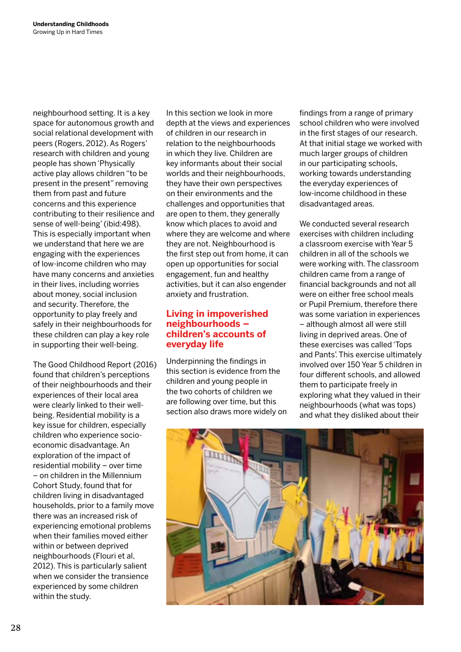neighbourhood setting. It is a key space for autonomous growth and social relational development with peers (Rogers, 2012). As Rogers' research with children and young people has shown 'Physically active play allows children "to be present in the present" removing them from past and future concerns and this experience contributing to their resilience and sense of well-being' (ibid:498). This is especially important when we understand that here we are engaging with the experiences of low-income children who may have many concerns and anxieties in their lives, including worries about money, social inclusion and security. Therefore, the opportunity to play freely and safely in their neighbourhoods for these children can play a key role in supporting their well-being.

The Good Childhood Report (2016) found that children's perceptions of their neighbourhoods and their experiences of their local area were clearly linked to their wellbeing. Residential mobility is a key issue for children, especially children who experience socioeconomic disadvantage. An exploration of the impact of residential mobility – over time – on children in the Millennium Cohort Study, found that for children living in disadvantaged households, prior to a family move there was an increased risk of experiencing emotional problems when their families moved either within or between deprived neighbourhoods (Flouri et al, 2012). This is particularly salient when we consider the transience experienced by some children within the study.

In this section we look in more depth at the views and experiences of children in our research in relation to the neighbourhoods in which they live. Children are key informants about their social worlds and their neighbourhoods, they have their own perspectives on their environments and the challenges and opportunities that are open to them, they generally know which places to avoid and where they are welcome and where they are not. Neighbourhood is the first step out from home, it can open up opportunities for social engagement, fun and healthy activities, but it can also engender anxiety and frustration.

#### **Living in impoverished neighbourhoods – children's accounts of everyday life**

Underpinning the findings in this section is evidence from the children and young people in the two cohorts of children we are following over time, but this section also draws more widely on findings from a range of primary school children who were involved in the first stages of our research. At that initial stage we worked with much larger groups of children in our participating schools, working towards understanding the everyday experiences of low-income childhood in these disadvantaged areas.

We conducted several research exercises with children including a classroom exercise with Year 5 children in all of the schools we were working with. The classroom children came from a range of financial backgrounds and not all were on either free school meals or Pupil Premium, therefore there was some variation in experiences – although almost all were still living in deprived areas. One of these exercises was called 'Tops and Pants'. This exercise ultimately involved over 150 Year 5 children in four different schools, and allowed them to participate freely in exploring what they valued in their neighbourhoods (what was tops) and what they disliked about their

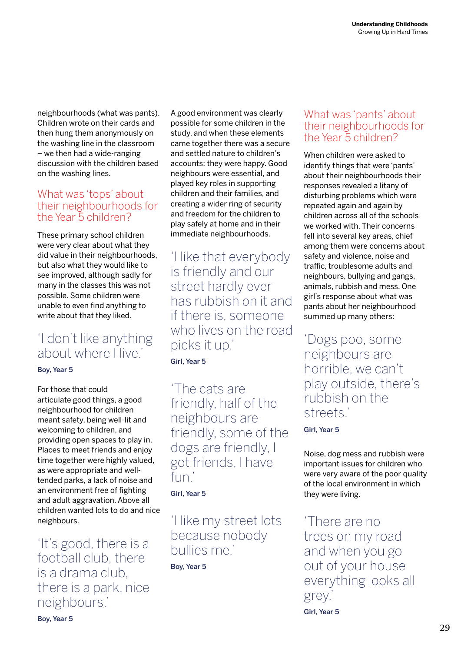neighbourhoods (what was pants). Children wrote on their cards and then hung them anonymously on the washing line in the classroom – we then had a wide-ranging discussion with the children based on the washing lines.

# What was 'tops' about their neighbourhoods for the Year 5 children?

These primary school children were very clear about what they did value in their neighbourhoods, but also what they would like to see improved, although sadly for many in the classes this was not possible. Some children were unable to even find anything to write about that they liked.

# 'I don't like anything about where I live.'

#### Boy, Year 5

For those that could articulate good things, a good neighbourhood for children meant safety, being well-lit and welcoming to children, and providing open spaces to play in. Places to meet friends and enjoy time together were highly valued, as were appropriate and welltended parks, a lack of noise and an environment free of fighting and adult aggravation. Above all children wanted lots to do and nice neighbours.

'It's good, there is a football club, there is a drama club, there is a park, nice neighbours.'

A good environment was clearly possible for some children in the study, and when these elements came together there was a secure and settled nature to children's accounts: they were happy. Good neighbours were essential, and played key roles in supporting children and their families, and creating a wider ring of security and freedom for the children to play safely at home and in their immediate neighbourhoods.

'I like that everybody is friendly and our street hardly ever has rubbish on it and if there is, someone who lives on the road picks it up.'

Girl, Year 5

'The cats are friendly, half of the neighbours are friendly, some of the dogs are friendly, I got friends, I have fun.'

Girl, Year 5

'I like my street lots because nobody bullies me.'

Boy, Year 5

# What was 'pants' about their neighbourhoods for the Year 5 children?

When children were asked to identify things that were 'pants' about their neighbourhoods their responses revealed a litany of disturbing problems which were repeated again and again by children across all of the schools we worked with. Their concerns fell into several key areas, chief among them were concerns about safety and violence, noise and traffic, troublesome adults and neighbours, bullying and gangs, animals, rubbish and mess. One girl's response about what was pants about her neighbourhood summed up many others:

'Dogs poo, some neighbours are horrible, we can't play outside, there's rubbish on the streets.'

Girl, Year 5

Noise, dog mess and rubbish were important issues for children who were very aware of the poor quality of the local environment in which they were living.

'There are no trees on my road and when you go out of your house everything looks all grey.'

Girl, Year 5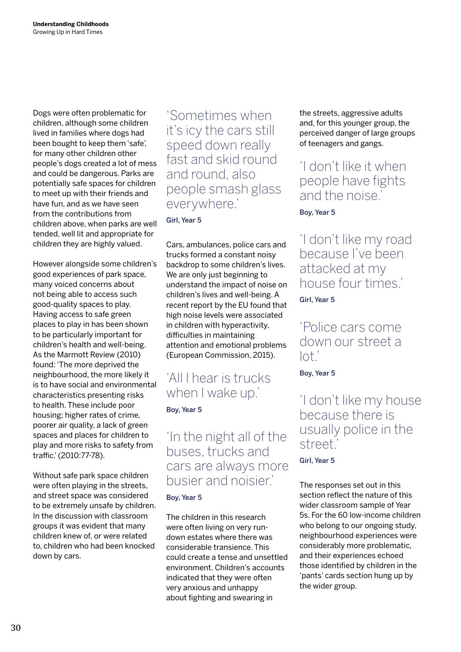Dogs were often problematic for children, although some children lived in families where dogs had been bought to keep them 'safe', for many other children other people's dogs created a lot of mess and could be dangerous. Parks are potentially safe spaces for children to meet up with their friends and have fun, and as we have seen from the contributions from children above, when parks are well tended, well lit and appropriate for children they are highly valued.

However alongside some children's good experiences of park space, many voiced concerns about not being able to access such good-quality spaces to play. Having access to safe green places to play in has been shown to be particularly important for children's health and well-being. As the Marmott Review (2010) found: 'The more deprived the neighbourhood, the more likely it is to have social and environmental characteristics presenting risks to health. These include poor housing; higher rates of crime, poorer air quality, a lack of green spaces and places for children to play and more risks to safety from traffic.' (2010:77-78).

Without safe park space children were often playing in the streets, and street space was considered to be extremely unsafe by children. In the discussion with classroom groups it was evident that many children knew of, or were related to, children who had been knocked down by cars.

'Sometimes when it's icy the cars still speed down really fast and skid round and round, also people smash glass everywhere.'

Girl, Year 5

Cars, ambulances, police cars and trucks formed a constant noisy backdrop to some children's lives. We are only just beginning to understand the impact of noise on children's lives and well-being. A recent report by the EU found that high noise levels were associated in children with hyperactivity, difficulties in maintaining attention and emotional problems (European Commission, 2015).

# 'All I hear is trucks when I wake up.'

Boy, Year 5

# 'In the night all of the buses, trucks and cars are always more busier and noisier.'

#### Boy, Year 5

The children in this research were often living on very rundown estates where there was considerable transience. This could create a tense and unsettled environment. Children's accounts indicated that they were often very anxious and unhappy about fighting and swearing in

the streets, aggressive adults and, for this younger group, the perceived danger of large groups of teenagers and gangs.

# 'I don't like it when people have fights and the noise.'

Boy, Year 5

'I don't like my road because I've been attacked at my house four times.'

Girl, Year 5

# 'Police cars come down our street a  $\overline{a}$

Boy, Year 5

# 'I don't like my house because there is usually police in the street.'

Girl, Year 5

The responses set out in this section reflect the nature of this wider classroom sample of Year 5s. For the 60 low-income children who belong to our ongoing study, neighbourhood experiences were considerably more problematic, and their experiences echoed those identified by children in the 'pants' cards section hung up by the wider group.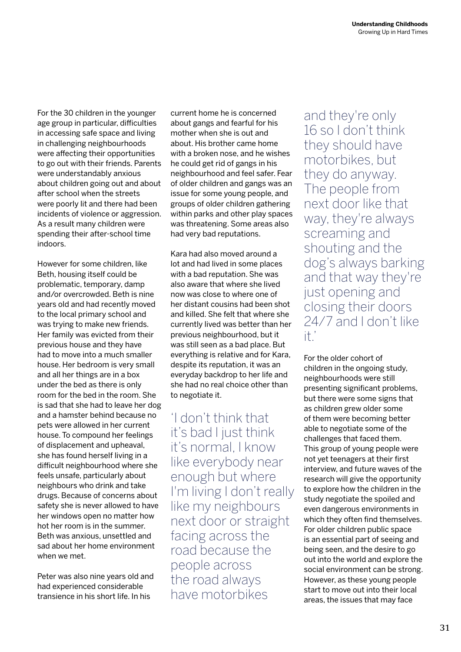For the 30 children in the younger age group in particular, difficulties in accessing safe space and living in challenging neighbourhoods were affecting their opportunities to go out with their friends. Parents were understandably anxious about children going out and about after school when the streets were poorly lit and there had been incidents of violence or aggression. As a result many children were spending their after-school time indoors.

However for some children, like Beth, housing itself could be problematic, temporary, damp and/or overcrowded. Beth is nine years old and had recently moved to the local primary school and was trying to make new friends. Her family was evicted from their previous house and they have had to move into a much smaller house. Her bedroom is very small and all her things are in a box under the bed as there is only room for the bed in the room. She is sad that she had to leave her dog and a hamster behind because no pets were allowed in her current house. To compound her feelings of displacement and upheaval, she has found herself living in a difficult neighbourhood where she feels unsafe, particularly about neighbours who drink and take drugs. Because of concerns about safety she is never allowed to have her windows open no matter how hot her room is in the summer. Beth was anxious, unsettled and sad about her home environment when we met.

Peter was also nine years old and had experienced considerable transience in his short life. In his

current home he is concerned about gangs and fearful for his mother when she is out and about. His brother came home with a broken nose, and he wishes he could get rid of gangs in his neighbourhood and feel safer. Fear of older children and gangs was an issue for some young people, and groups of older children gathering within parks and other play spaces was threatening. Some areas also had very bad reputations.

Kara had also moved around a lot and had lived in some places with a bad reputation. She was also aware that where she lived now was close to where one of her distant cousins had been shot and killed. She felt that where she currently lived was better than her previous neighbourhood, but it was still seen as a bad place. But everything is relative and for Kara, despite its reputation, it was an everyday backdrop to her life and she had no real choice other than to negotiate it.

'I don't think that it's bad I just think it's normal, I know like everybody near enough but where I'm living I don't really like my neighbours next door or straight facing across the road because the people across the road always have motorbikes

and they're only 16 so I don't think they should have motorbikes, but they do anyway. The people from next door like that way, they're always screaming and shouting and the dog's always barking and that way they're just opening and closing their doors 24/7 and I don't like it.'

For the older cohort of children in the ongoing study, neighbourhoods were still presenting significant problems, but there were some signs that as children grew older some of them were becoming better able to negotiate some of the challenges that faced them. This group of young people were not yet teenagers at their first interview, and future waves of the research will give the opportunity to explore how the children in the study negotiate the spoiled and even dangerous environments in which they often find themselves. For older children public space is an essential part of seeing and being seen, and the desire to go out into the world and explore the social environment can be strong. However, as these young people start to move out into their local areas, the issues that may face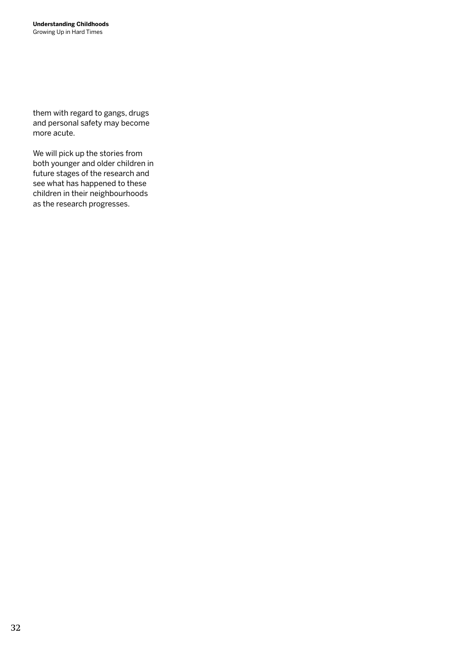them with regard to gangs, drugs and personal safety may become more acute.

We will pick up the stories from both younger and older children in future stages of the research and see what has happened to these children in their neighbourhoods as the research progresses.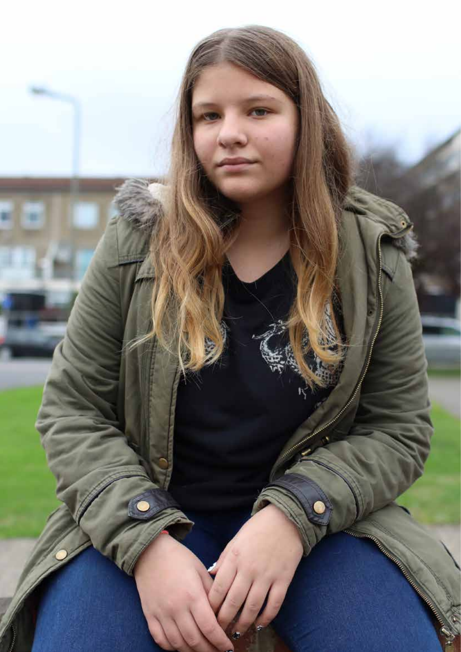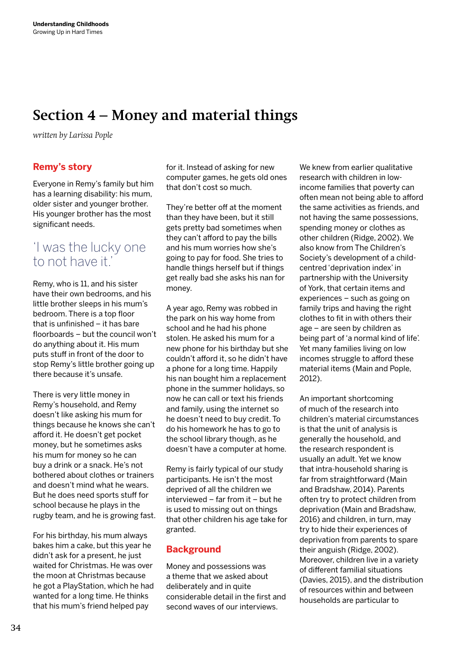# **Section 4 – Money and material things**

*written by Larissa Pople*

## **Remy's story**

Everyone in Remy's family but him has a learning disability: his mum, older sister and younger brother. His younger brother has the most significant needs.

# 'I was the lucky one to not have it.

Remy, who is 11, and his sister have their own bedrooms, and his little brother sleeps in his mum's bedroom. There is a top floor that is unfinished – it has bare floorboards – but the council won't do anything about it. His mum puts stuff in front of the door to stop Remy's little brother going up there because it's unsafe.

There is very little money in Remy's household, and Remy doesn't like asking his mum for things because he knows she can't afford it. He doesn't get pocket money, but he sometimes asks his mum for money so he can buy a drink or a snack. He's not bothered about clothes or trainers and doesn't mind what he wears. But he does need sports stuff for school because he plays in the rugby team, and he is growing fast.

For his birthday, his mum always bakes him a cake, but this year he didn't ask for a present, he just waited for Christmas. He was over the moon at Christmas because he got a PlayStation, which he had wanted for a long time. He thinks that his mum's friend helped pay

for it. Instead of asking for new computer games, he gets old ones that don't cost so much.

They're better off at the moment than they have been, but it still gets pretty bad sometimes when they can't afford to pay the bills and his mum worries how she's going to pay for food. She tries to handle things herself but if things get really bad she asks his nan for money.

A year ago, Remy was robbed in the park on his way home from school and he had his phone stolen. He asked his mum for a new phone for his birthday but she couldn't afford it, so he didn't have a phone for a long time. Happily his nan bought him a replacement phone in the summer holidays, so now he can call or text his friends and family, using the internet so he doesn't need to buy credit. To do his homework he has to go to the school library though, as he doesn't have a computer at home.

Remy is fairly typical of our study participants. He isn't the most deprived of all the children we interviewed – far from it – but he is used to missing out on things that other children his age take for granted.

## **Background**

Money and possessions was a theme that we asked about deliberately and in quite considerable detail in the first and second waves of our interviews.

We knew from earlier qualitative research with children in lowincome families that poverty can often mean not being able to afford the same activities as friends, and not having the same possessions, spending money or clothes as other children (Ridge, 2002). We also know from The Children's Society's development of a childcentred 'deprivation index' in partnership with the University of York, that certain items and experiences – such as going on family trips and having the right clothes to fit in with others their age – are seen by children as being part of 'a normal kind of life'. Yet many families living on low incomes struggle to afford these material items (Main and Pople, 2012).

An important shortcoming of much of the research into children's material circumstances is that the unit of analysis is generally the household, and the research respondent is usually an adult. Yet we know that intra-household sharing is far from straightforward (Main and Bradshaw, 2014). Parents often try to protect children from deprivation (Main and Bradshaw, 2016) and children, in turn, may try to hide their experiences of deprivation from parents to spare their anguish (Ridge, 2002). Moreover, children live in a variety of different familial situations (Davies, 2015), and the distribution of resources within and between households are particular to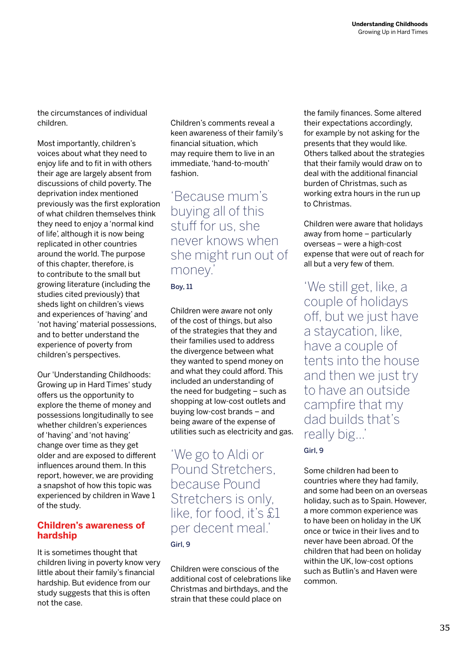the circumstances of individual children.

Most importantly, children's voices about what they need to enjoy life and to fit in with others their age are largely absent from discussions of child poverty. The deprivation index mentioned previously was the first exploration of what children themselves think they need to enjoy a 'normal kind of life', although it is now being replicated in other countries around the world. The purpose of this chapter, therefore, is to contribute to the small but growing literature (including the studies cited previously) that sheds light on children's views and experiences of 'having' and 'not having' material possessions, and to better understand the experience of poverty from children's perspectives.

Our 'Understanding Childhoods: Growing up in Hard Times' study offers us the opportunity to explore the theme of money and possessions longitudinally to see whether children's experiences of 'having' and 'not having' change over time as they get older and are exposed to different influences around them. In this report, however, we are providing a snapshot of how this topic was experienced by children in Wave 1 of the study.

#### **Children's awareness of hardship**

It is sometimes thought that children living in poverty know very little about their family's financial hardship. But evidence from our study suggests that this is often not the case.

Children's comments reveal a keen awareness of their family's financial situation, which may require them to live in an immediate, 'hand-to-mouth' fashion.

# 'Because mum's buying all of this stuff for us, she never knows when she might run out of money.'

#### Boy, 11

Children were aware not only of the cost of things, but also of the strategies that they and their families used to address the divergence between what they wanted to spend money on and what they could afford. This included an understanding of the need for budgeting – such as shopping at low-cost outlets and buying low-cost brands – and being aware of the expense of utilities such as electricity and gas.

'We go to Aldi or Pound Stretchers, because Pound Stretchers is only, like, for food, it's £1 per decent meal.'

## Girl, 9

Children were conscious of the additional cost of celebrations like Christmas and birthdays, and the strain that these could place on

the family finances. Some altered their expectations accordingly, for example by not asking for the presents that they would like. Others talked about the strategies that their family would draw on to deal with the additional financial burden of Christmas, such as working extra hours in the run up to Christmas.

Children were aware that holidays away from home – particularly overseas – were a high-cost expense that were out of reach for all but a very few of them.

'We still get, like, a couple of holidays off, but we just have a staycation, like, have a couple of tents into the house and then we just try to have an outside campfire that my dad builds that's really big…'

#### Girl, 9

Some children had been to countries where they had family, and some had been on an overseas holiday, such as to Spain. However, a more common experience was to have been on holiday in the UK once or twice in their lives and to never have been abroad. Of the children that had been on holiday within the UK, low-cost options such as Butlin's and Haven were common.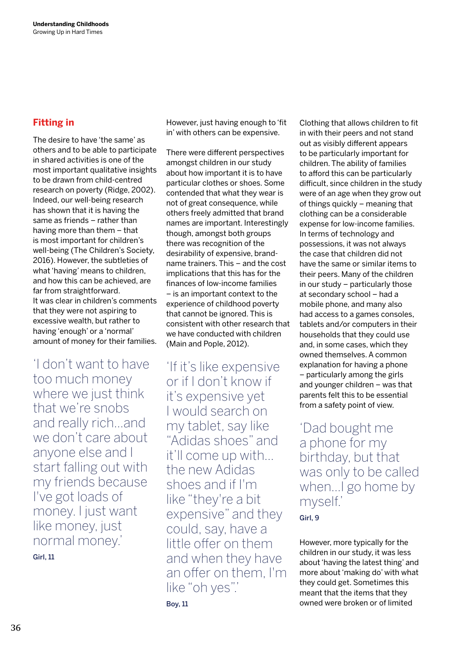# **Fitting in**

The desire to have 'the same' as others and to be able to participate in shared activities is one of the most important qualitative insights to be drawn from child-centred research on poverty (Ridge, 2002). Indeed, our well-being research has shown that it is having the same as friends – rather than having more than them – that is most important for children's well-being (The Children's Society, 2016). However, the subtleties of what 'having' means to children, and how this can be achieved, are far from straightforward. It was clear in children's comments that they were not aspiring to excessive wealth, but rather to having 'enough' or a 'normal' amount of money for their families.

'I don't want to have too much money where we just think that we're snobs and really rich…and we don't care about anyone else and I start falling out with my friends because I've got loads of money. I just want like money, just normal money.' Girl, 11

However, just having enough to 'fit in' with others can be expensive.

There were different perspectives amongst children in our study about how important it is to have particular clothes or shoes. Some contended that what they wear is not of great consequence, while others freely admitted that brand names are important. Interestingly though, amongst both groups there was recognition of the desirability of expensive, brandname trainers. This – and the cost implications that this has for the finances of low-income families – is an important context to the experience of childhood poverty that cannot be ignored. This is consistent with other research that we have conducted with children (Main and Pople, 2012).

'If it's like expensive or if I don't know if it's expensive yet I would search on my tablet, say like "Adidas shoes" and it'll come up with… the new Adidas shoes and if I'm like "they're a bit expensive" and they could, say, have a little offer on them and when they have an offer on them, I'm like "oh yes".'

Clothing that allows children to fit in with their peers and not stand out as visibly different appears to be particularly important for children. The ability of families to afford this can be particularly difficult, since children in the study were of an age when they grow out of things quickly – meaning that clothing can be a considerable expense for low-income families. In terms of technology and possessions, it was not always the case that children did not have the same or similar items to their peers. Many of the children in our study – particularly those at secondary school – had a mobile phone, and many also had access to a games consoles, tablets and/or computers in their households that they could use and, in some cases, which they owned themselves. A common explanation for having a phone – particularly among the girls and younger children – was that parents felt this to be essential from a safety point of view.

'Dad bought me a phone for my birthday, but that was only to be called when…I go home by myself.'

Girl, 9

However, more typically for the children in our study, it was less about 'having the latest thing' and more about 'making do' with what they could get. Sometimes this meant that the items that they owned were broken or of limited

Boy, 11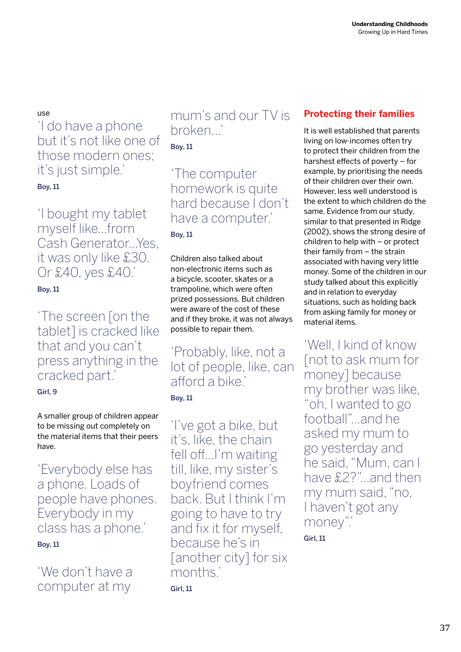## use

'I do have a phone but it's not like one of those modern ones; it's just simple.'

Boy, 11

'I bought my tablet myself like…from Cash Generator…Yes, it was only like £30. Or £40, yes £40.' Boy, 11

'The screen [on the tablet] is cracked like that and you can't press anything in the cracked part.'

## Girl, 9

A smaller group of children appear to be missing out completely on the material items that their peers have.

'Everybody else has a phone. Loads of people have phones. Everybody in my class has a phone.' Boy, 11

'We don't have a computer at my

mum's and our TV is broken...'

Boy, 11

'The computer homework is quite hard because I don't have a computer.'

## Boy, 11

Children also talked about non-electronic items such as a bicycle, scooter, skates or a trampoline, which were often prized possessions. But children were aware of the cost of these and if they broke, it was not always possible to repair them.

# 'Probably, like, not a lot of people, like, can afford a bike.'

## Boy, 11

'I've got a bike, but it's, like, the chain fell off…I'm waiting till, like, my sister's boyfriend comes back. But I think I'm going to have to try and fix it for myself, because he's in [another city] for six months.' Girl, 11

# **Protecting their families**

It is well established that parents living on low-incomes often try to protect their children from the harshest effects of poverty – for example, by prioritising the needs of their children over their own. However, less well understood is the extent to which children do the same. Evidence from our study, similar to that presented in Ridge (2002), shows the strong desire of children to help with – or protect their family from – the strain associated with having very little money. Some of the children in our study talked about this explicitly and in relation to everyday situations, such as holding back from asking family for money or material items.

'Well, I kind of know [not to ask mum for money] because my brother was like, "oh, I wanted to go football"…and he asked my mum to go yesterday and he said, "Mum, can I have £2?"…and then my mum said, "no, I haven't got any money".'

Girl, 11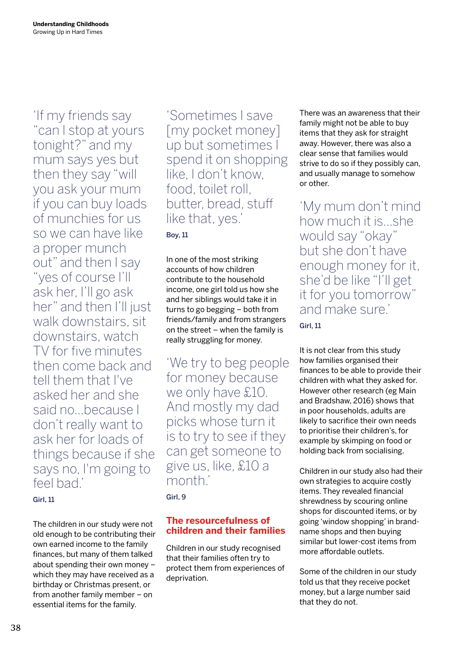'If my friends say "can I stop at yours tonight?" and my mum says yes but then they say "will you ask your mum if you can buy loads of munchies for us so we can have like a proper munch out" and then I say "yes of course I'll ask her, I'll go ask her" and then I'll just walk downstairs, sit downstairs, watch TV for five minutes then come back and tell them that I've asked her and she said no…because I don't really want to ask her for loads of things because if she says no, I'm going to feel bad.'

#### Girl, 11

The children in our study were not old enough to be contributing their own earned income to the family finances, but many of them talked about spending their own money – which they may have received as a birthday or Christmas present, or from another family member – on essential items for the family.

'Sometimes I save [my pocket money] up but sometimes I spend it on shopping like, I don't know, food, toilet roll, butter, bread, stuff like that, yes.'

#### Boy, 11

In one of the most striking accounts of how children contribute to the household income, one girl told us how she and her siblings would take it in turns to go begging – both from friends/family and from strangers on the street – when the family is really struggling for money.

'We try to beg people for money because we only have £10. And mostly my dad picks whose turn it is to try to see if they can get someone to give us, like, £10 a month.'

Girl, 9

## **The resourcefulness of children and their families**

Children in our study recognised that their families often try to protect them from experiences of deprivation.

There was an awareness that their family might not be able to buy items that they ask for straight away. However, there was also a clear sense that families would strive to do so if they possibly can, and usually manage to somehow or other.

'My mum don't mind how much it is…she would say "okay" but she don't have enough money for it, she'd be like "I'll get it for you tomorrow" and make sure.' Girl, 11

It is not clear from this study how families organised their finances to be able to provide their children with what they asked for. However other research (eg Main and Bradshaw, 2016) shows that in poor households, adults are likely to sacrifice their own needs to prioritise their children's, for example by skimping on food or holding back from socialising.

Children in our study also had their own strategies to acquire costly items. They revealed financial shrewdness by scouring online shops for discounted items, or by going 'window shopping' in brandname shops and then buying similar but lower-cost items from more affordable outlets.

Some of the children in our study told us that they receive pocket money, but a large number said that they do not.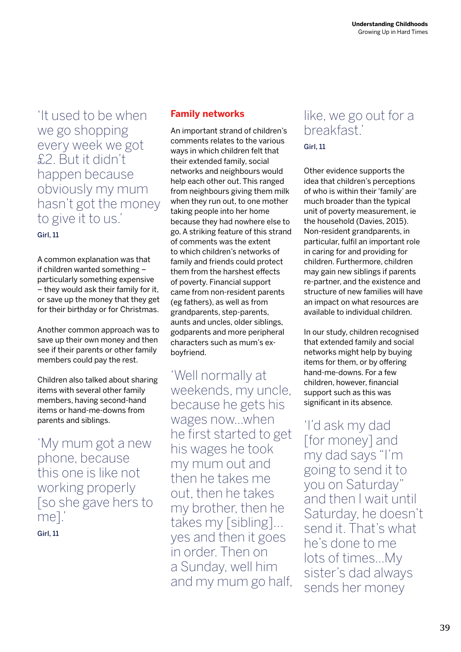'It used to be when we go shopping every week we got £2. But it didn't happen because obviously my mum hasn't got the money to give it to us.'

#### Girl, 11

A common explanation was that if children wanted something – particularly something expensive – they would ask their family for it, or save up the money that they get for their birthday or for Christmas.

Another common approach was to save up their own money and then see if their parents or other family members could pay the rest.

Children also talked about sharing items with several other family members, having second-hand items or hand-me-downs from parents and siblings.

'My mum got a new phone, because this one is like not working properly [so she gave hers to me].'

Girl, 11

## **Family networks**

An important strand of children's comments relates to the various ways in which children felt that their extended family, social networks and neighbours would help each other out. This ranged from neighbours giving them milk when they run out, to one mother taking people into her home because they had nowhere else to go. A striking feature of this strand of comments was the extent to which children's networks of family and friends could protect them from the harshest effects of poverty. Financial support came from non-resident parents (eg fathers), as well as from grandparents, step-parents, aunts and uncles, older siblings, godparents and more peripheral characters such as mum's exboyfriend.

'Well normally at weekends, my uncle, because he gets his wages now…when he first started to get his wages he took my mum out and then he takes me out, then he takes my brother, then he takes my [sibling]... yes and then it goes in order. Then on a Sunday, well him and my mum go half,

# like, we go out for a breakfast.'

Girl, 11

Other evidence supports the idea that children's perceptions of who is within their 'family' are much broader than the typical unit of poverty measurement, ie the household (Davies, 2015). Non-resident grandparents, in particular, fulfil an important role in caring for and providing for children. Furthermore, children may gain new siblings if parents re-partner, and the existence and structure of new families will have an impact on what resources are available to individual children.

In our study, children recognised that extended family and social networks might help by buying items for them, or by offering hand-me-downs. For a few children, however, financial support such as this was significant in its absence.

'I'd ask my dad [for money] and my dad says "I'm going to send it to you on Saturday" and then I wait until Saturday, he doesn't send it. That's what he's done to me lots of times…My sister's dad always sends her money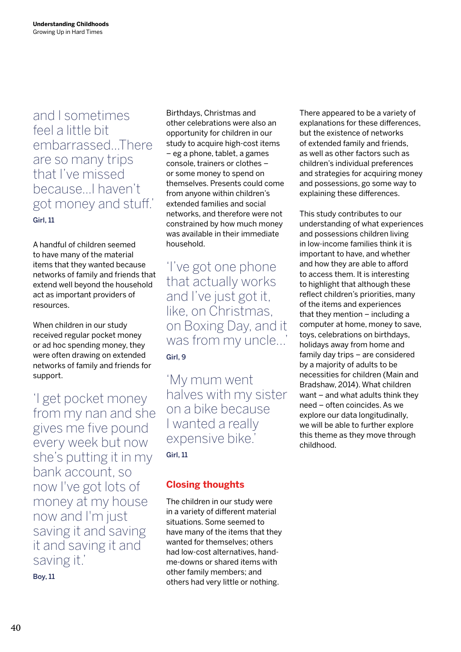and I sometimes feel a little bit embarrassed…There are so many trips that I've missed because…I haven't got money and stuff.' Girl, 11

A handful of children seemed to have many of the material items that they wanted because networks of family and friends that extend well beyond the household act as important providers of resources.

When children in our study received regular pocket money or ad hoc spending money, they were often drawing on extended networks of family and friends for support.

'I get pocket money from my nan and she gives me five pound every week but now she's putting it in my bank account, so now I've got lots of money at my house now and I'm just saving it and saving it and saving it and saving it.'

Boy, 11

Birthdays, Christmas and other celebrations were also an opportunity for children in our study to acquire high-cost items – eg a phone, tablet, a games console, trainers or clothes – or some money to spend on themselves. Presents could come from anyone within children's extended families and social networks, and therefore were not constrained by how much money was available in their immediate household.

'I've got one phone that actually works and I've just got it, like, on Christmas, on Boxing Day, and it was from my uncle...' Girl, 9

'My mum went halves with my sister on a bike because I wanted a really expensive bike.' Girl, 11

# **Closing thoughts**

The children in our study were in a variety of different material situations. Some seemed to have many of the items that they wanted for themselves; others had low-cost alternatives, handme-downs or shared items with other family members; and others had very little or nothing.

There appeared to be a variety of explanations for these differences, but the existence of networks of extended family and friends, as well as other factors such as children's individual preferences and strategies for acquiring money and possessions, go some way to explaining these differences.

This study contributes to our understanding of what experiences and possessions children living in low-income families think it is important to have, and whether and how they are able to afford to access them. It is interesting to highlight that although these reflect children's priorities, many of the items and experiences that they mention – including a computer at home, money to save, toys, celebrations on birthdays, holidays away from home and family day trips – are considered by a majority of adults to be necessities for children (Main and Bradshaw, 2014). What children want – and what adults think they need – often coincides. As we explore our data longitudinally, we will be able to further explore this theme as they move through childhood.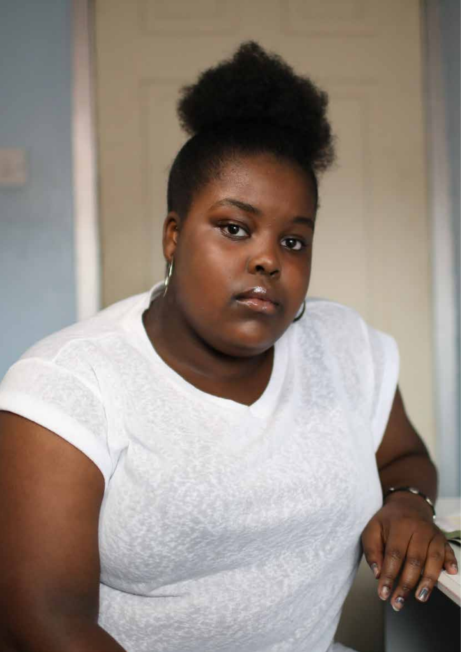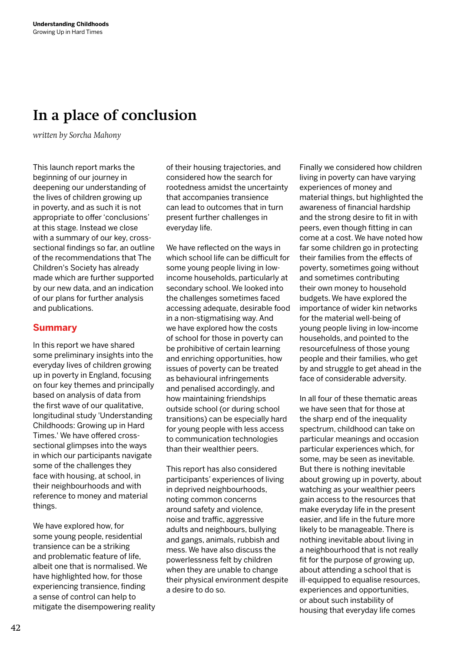# **In a place of conclusion**

*written by Sorcha Mahony*

This launch report marks the beginning of our journey in deepening our understanding of the lives of children growing up in poverty, and as such it is not appropriate to offer 'conclusions' at this stage. Instead we close with a summary of our key, crosssectional findings so far, an outline of the recommendations that The Children's Society has already made which are further supported by our new data, and an indication of our plans for further analysis and publications.

#### **Summary**

In this report we have shared some preliminary insights into the everyday lives of children growing up in poverty in England, focusing on four key themes and principally based on analysis of data from the first wave of our qualitative, longitudinal study 'Understanding Childhoods: Growing up in Hard Times.' We have offered crosssectional glimpses into the ways in which our participants navigate some of the challenges they face with housing, at school, in their neighbourhoods and with reference to money and material things.

We have explored how, for some young people, residential transience can be a striking and problematic feature of life, albeit one that is normalised. We have highlighted how, for those experiencing transience, finding a sense of control can help to mitigate the disempowering reality of their housing trajectories, and considered how the search for rootedness amidst the uncertainty that accompanies transience can lead to outcomes that in turn present further challenges in everyday life.

We have reflected on the ways in which school life can be difficult for some young people living in lowincome households, particularly at secondary school. We looked into the challenges sometimes faced accessing adequate, desirable food in a non-stigmatising way. And we have explored how the costs of school for those in poverty can be prohibitive of certain learning and enriching opportunities, how issues of poverty can be treated as behavioural infringements and penalised accordingly, and how maintaining friendships outside school (or during school transitions) can be especially hard for young people with less access to communication technologies than their wealthier peers.

This report has also considered participants' experiences of living in deprived neighbourhoods, noting common concerns around safety and violence, noise and traffic, aggressive adults and neighbours, bullying and gangs, animals, rubbish and mess. We have also discuss the powerlessness felt by children when they are unable to change their physical environment despite a desire to do so.

Finally we considered how children living in poverty can have varying experiences of money and material things, but highlighted the awareness of financial hardship and the strong desire to fit in with peers, even though fitting in can come at a cost. We have noted how far some children go in protecting their families from the effects of poverty, sometimes going without and sometimes contributing their own money to household budgets. We have explored the importance of wider kin networks for the material well-being of young people living in low-income households, and pointed to the resourcefulness of those young people and their families, who get by and struggle to get ahead in the face of considerable adversity.

In all four of these thematic areas we have seen that for those at the sharp end of the inequality spectrum, childhood can take on particular meanings and occasion particular experiences which, for some, may be seen as inevitable. But there is nothing inevitable about growing up in poverty, about watching as your wealthier peers gain access to the resources that make everyday life in the present easier, and life in the future more likely to be manageable. There is nothing inevitable about living in a neighbourhood that is not really fit for the purpose of growing up, about attending a school that is ill-equipped to equalise resources, experiences and opportunities, or about such instability of housing that everyday life comes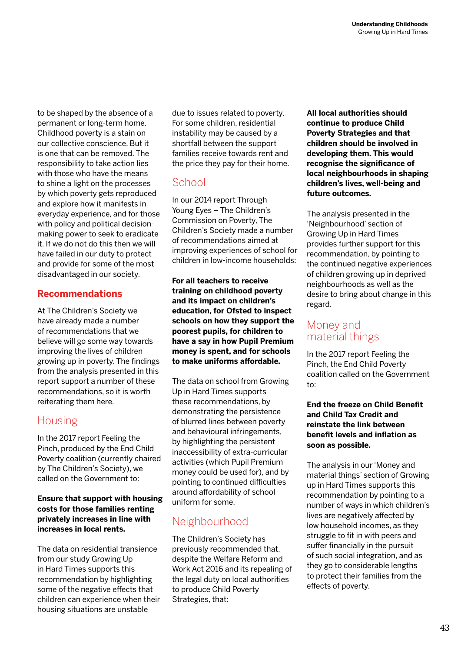to be shaped by the absence of a permanent or long-term home. Childhood poverty is a stain on our collective conscience. But it is one that can be removed. The responsibility to take action lies with those who have the means to shine a light on the processes by which poverty gets reproduced and explore how it manifests in everyday experience, and for those with policy and political decisionmaking power to seek to eradicate it. If we do not do this then we will have failed in our duty to protect and provide for some of the most disadvantaged in our society.

## **Recommendations**

At The Children's Society we have already made a number of recommendations that we believe will go some way towards improving the lives of children growing up in poverty. The findings from the analysis presented in this report support a number of these recommendations, so it is worth reiterating them here.

# Housing

In the 2017 report Feeling the Pinch, produced by the End Child Poverty coalition (currently chaired by The Children's Society), we called on the Government to:

**Ensure that support with housing costs for those families renting privately increases in line with increases in local rents.**

The data on residential transience from our study Growing Up in Hard Times supports this recommendation by highlighting some of the negative effects that children can experience when their housing situations are unstable

due to issues related to poverty. For some children, residential instability may be caused by a shortfall between the support families receive towards rent and the price they pay for their home.

# **School**

In our 2014 report Through Young Eyes – The Children's Commission on Poverty, The Children's Society made a number of recommendations aimed at improving experiences of school for children in low-income households:

**For all teachers to receive training on childhood poverty and its impact on children's education, for Ofsted to inspect schools on how they support the poorest pupils, for children to have a say in how Pupil Premium money is spent, and for schools to make uniforms affordable.** 

The data on school from Growing Up in Hard Times supports these recommendations, by demonstrating the persistence of blurred lines between poverty and behavioural infringements, by highlighting the persistent inaccessibility of extra-curricular activities (which Pupil Premium money could be used for), and by pointing to continued difficulties around affordability of school uniform for some.

# Neighbourhood

The Children's Society has previously recommended that, despite the Welfare Reform and Work Act 2016 and its repealing of the legal duty on local authorities to produce Child Poverty Strategies, that:

**All local authorities should continue to produce Child Poverty Strategies and that children should be involved in developing them. This would recognise the significance of local neighbourhoods in shaping children's lives, well-being and future outcomes.** 

The analysis presented in the 'Neighbourhood' section of Growing Up in Hard Times provides further support for this recommendation, by pointing to the continued negative experiences of children growing up in deprived neighbourhoods as well as the desire to bring about change in this regard.

# Money and material things

In the 2017 report Feeling the Pinch, the End Child Poverty coalition called on the Government to:

#### **End the freeze on Child Benefit and Child Tax Credit and reinstate the link between benefit levels and inflation as soon as possible.**

The analysis in our 'Money and material things' section of Growing up in Hard Times supports this recommendation by pointing to a number of ways in which children's lives are negatively affected by low household incomes, as they struggle to fit in with peers and suffer financially in the pursuit of such social integration, and as they go to considerable lengths to protect their families from the effects of poverty.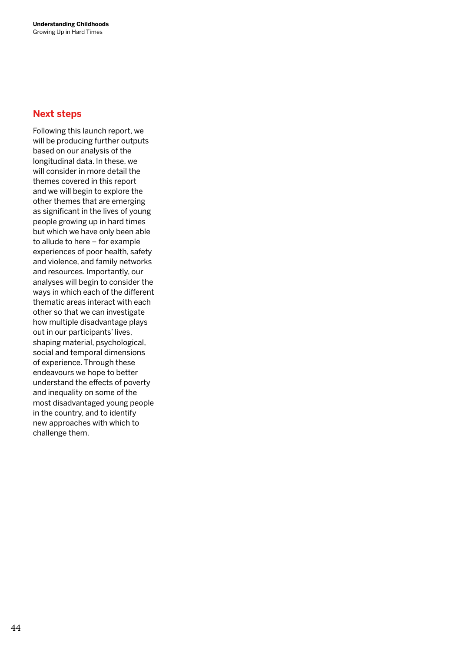## **Next steps**

Following this launch report, we will be producing further outputs based on our analysis of the longitudinal data. In these, we will consider in more detail the themes covered in this report and we will begin to explore the other themes that are emerging as significant in the lives of young people growing up in hard times but which we have only been able to allude to here – for example experiences of poor health, safety and violence, and family networks and resources. Importantly, our analyses will begin to consider the ways in which each of the different thematic areas interact with each other so that we can investigate how multiple disadvantage plays out in our participants' lives, shaping material, psychological, social and temporal dimensions of experience. Through these endeavours we hope to better understand the effects of poverty and inequality on some of the most disadvantaged young people in the country, and to identify new approaches with which to challenge them.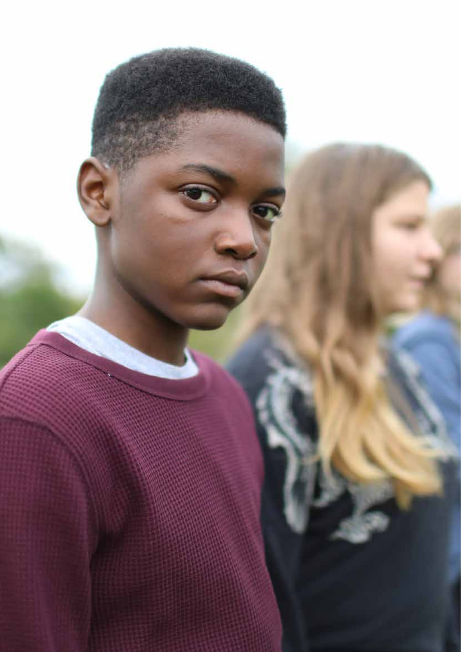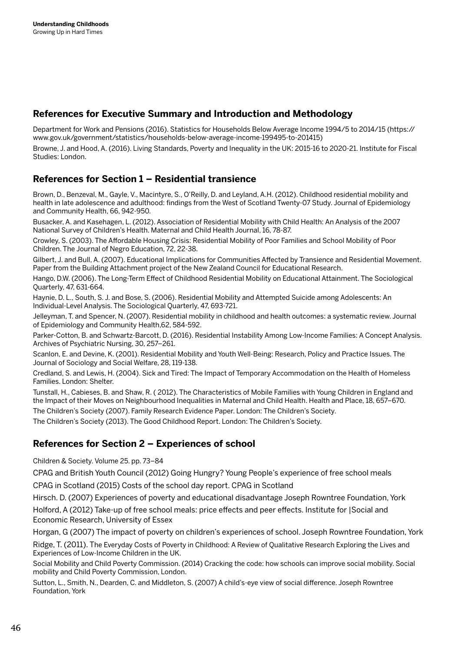## **References for Executive Summary and Introduction and Methodology**

Department for Work and Pensions (2016). Statistics for Households Below Average Income 1994/5 to 2014/15 (https:// www.gov.uk/government/statistics/households-below-average-income-199495-to-201415)

Browne, J. and Hood, A. (2016). Living Standards, Poverty and Inequality in the UK: 2015-16 to 2020-21. Institute for Fiscal Studies: London.

## **References for Section 1 – Residential transience**

Brown, D., Benzeval, M., Gayle, V., Macintyre, S., O'Reilly, D. and Leyland, A.H. (2012). Childhood residential mobility and health in late adolescence and adulthood: findings from the West of Scotland Twenty-07 Study. Journal of Epidemiology and Community Health, 66, 942-950.

Busacker, A. and Kasehagen, L. (2012). Association of Residential Mobility with Child Health: An Analysis of the 2007 National Survey of Children's Health. Maternal and Child Health Journal, 16, 78-87.

Crowley, S. (2003). The Affordable Housing Crisis: Residential Mobility of Poor Families and School Mobility of Poor Children. The Journal of Negro Education, 72, 22-38.

Gilbert, J. and Bull, A. (2007). Educational Implications for Communities Affected by Transience and Residential Movement. Paper from the Building Attachment project of the New Zealand Council for Educational Research.

Hango, D.W. (2006). The Long-Term Effect of Childhood Residential Mobility on Educational Attainment. The Sociological Quarterly, 47, 631-664.

Haynie, D. L., South, S. J. and Bose, S. (2006). Residential Mobility and Attempted Suicide among Adolescents: An Individual-Level Analysis. The Sociological Quarterly, 47, 693-721.

Jelleyman, T. and Spencer, N. (2007). Residential mobility in childhood and health outcomes: a systematic review. Journal of Epidemiology and Community Health,62, 584-592.

Parker-Cotton, B. and Schwartz-Barcott, D. (2016). Residential Instability Among Low-Income Families: A Concept Analysis. Archives of Psychiatric Nursing, 30, 257–261.

Scanlon, E. and Devine, K. (2001). Residential Mobility and Youth Well-Being: Research, Policy and Practice Issues. The Journal of Sociology and Social Welfare, 28, 119-138.

Credland, S. and Lewis, H. (2004). Sick and Tired: The Impact of Temporary Accommodation on the Health of Homeless Families. London: Shelter.

Tunstall, H., Cabieses, B. and Shaw, R. ( 2012). The Characteristics of Mobile Families with Young Children in England and the Impact of their Moves on Neighbourhood Inequalities in Maternal and Child Health. Health and Place, 18, 657–670.

The Children's Society (2007). Family Research Evidence Paper. London: The Children's Society.

The Children's Society (2013). The Good Childhood Report. London: The Children's Society.

## **References for Section 2 – Experiences of school**

Children & Society. Volume 25. pp. 73–84

CPAG and British Youth Council (2012) Going Hungry? Young People's experience of free school meals

CPAG in Scotland (2015) Costs of the school day report. CPAG in Scotland

Hirsch. D. (2007) Experiences of poverty and educational disadvantage Joseph Rowntree Foundation, York

Holford, A (2012) Take-up of free school meals: price effects and peer effects. Institute for |Social and Economic Research, University of Essex

Horgan, G (2007) The impact of poverty on children's experiences of school. Joseph Rowntree Foundation, York

Ridge, T. (2011). The Everyday Costs of Poverty in Childhood: A Review of Qualitative Research Exploring the Lives and Experiences of Low-Income Children in the UK.

Social Mobility and Child Poverty Commission. (2014) Cracking the code: how schools can improve social mobility. Social mobility and Child Poverty Commission, London.

Sutton, L., Smith, N., Dearden, C. and Middleton, S. (2007) A child's-eye view of social difference. Joseph Rowntree Foundation, York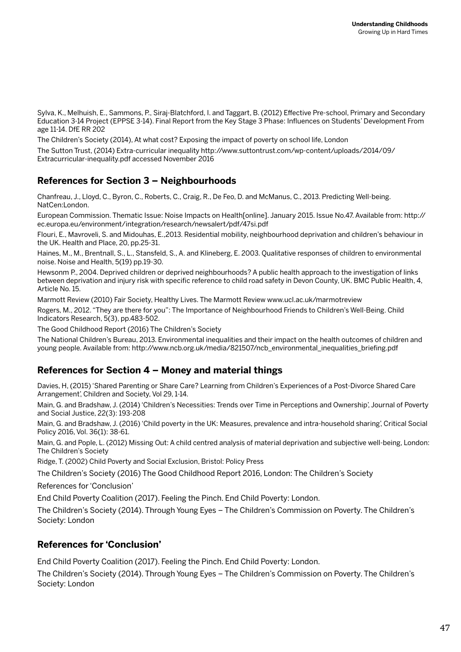Sylva, K., Melhuish, E., Sammons, P., Siraj-Blatchford, I. and Taggart, B. (2012) Effective Pre-school, Primary and Secondary Education 3-14 Project (EPPSE 3-14). Final Report from the Key Stage 3 Phase: Influences on Students' Development From age 11-14. DfE RR 202

The Children's Society (2014), At what cost? Exposing the impact of poverty on school life, London

The Sutton Trust, (2014) Extra-curricular inequality http://www.suttontrust.com/wp-content/uploads/2014/09/ Extracurricular-inequality.pdf accessed November 2016

## **References for Section 3 – Neighbourhoods**

Chanfreau, J., Lloyd, C., Byron, C., Roberts, C., Craig, R., De Feo, D. and McManus, C., 2013. Predicting Well-being. NatCen:London.

European Commission. Thematic Issue: Noise Impacts on Health[online]. January 2015. Issue No.47. Available from: http:// ec.europa.eu/environment/integration/research/newsalert/pdf/47si.pdf

Flouri, E., Mavroveli, S. and Midouhas, E.,2013. Residential mobility, neighbourhood deprivation and children's behaviour in the UK. Health and Place, 20, pp.25-31.

Haines, M., M., Brentnall, S., L., Stansfeld, S., A. and Klineberg, E. 2003. Qualitative responses of children to environmental noise. Noise and Health, 5(19) pp.19-30.

Hewsonm P., 2004. Deprived children or deprived neighbourhoods? A public health approach to the investigation of links between deprivation and injury risk with specific reference to child road safety in Devon County, UK. BMC Public Health, 4, Article No. 15.

Marmott Review (2010) Fair Society, Healthy Lives. The Marmott Review www.ucl.ac.uk/marmotreview

Rogers, M., 2012. "They are there for you": The Importance of Neighbourhood Friends to Children's Well-Being. Child Indicators Research, 5(3), pp.483-502.

The Good Childhood Report (2016) The Children's Society

The National Children's Bureau, 2013. Environmental inequalities and their impact on the health outcomes of children and young people. Available from: http://www.ncb.org.uk/media/821507/ncb\_environmental\_inequalities\_briefing.pdf

## **References for Section 4 – Money and material things**

Davies, H, (2015) 'Shared Parenting or Share Care? Learning from Children's Experiences of a Post-Divorce Shared Care Arrangement', Children and Society, Vol 29, 1-14.

Main, G. and Bradshaw, J. (2014) 'Children's Necessities: Trends over Time in Perceptions and Ownership', Journal of Poverty and Social Justice, 22(3): 193-208

Main, G. and Bradshaw, J. (2016) 'Child poverty in the UK: Measures, prevalence and intra-household sharing', Critical Social Policy 2016, Vol. 36(1): 38-61.

Main, G. and Pople, L. (2012) Missing Out: A child centred analysis of material deprivation and subjective well-being, London: The Children's Society

Ridge, T. (2002) Child Poverty and Social Exclusion, Bristol: Policy Press

The Children's Society (2016) The Good Childhood Report 2016, London: The Children's Society

References for 'Conclusion'

End Child Poverty Coalition (2017). Feeling the Pinch. End Child Poverty: London.

The Children's Society (2014). Through Young Eyes – The Children's Commission on Poverty. The Children's Society: London

## **References for 'Conclusion'**

End Child Poverty Coalition (2017). Feeling the Pinch. End Child Poverty: London.

The Children's Society (2014). Through Young Eyes – The Children's Commission on Poverty. The Children's Society: London